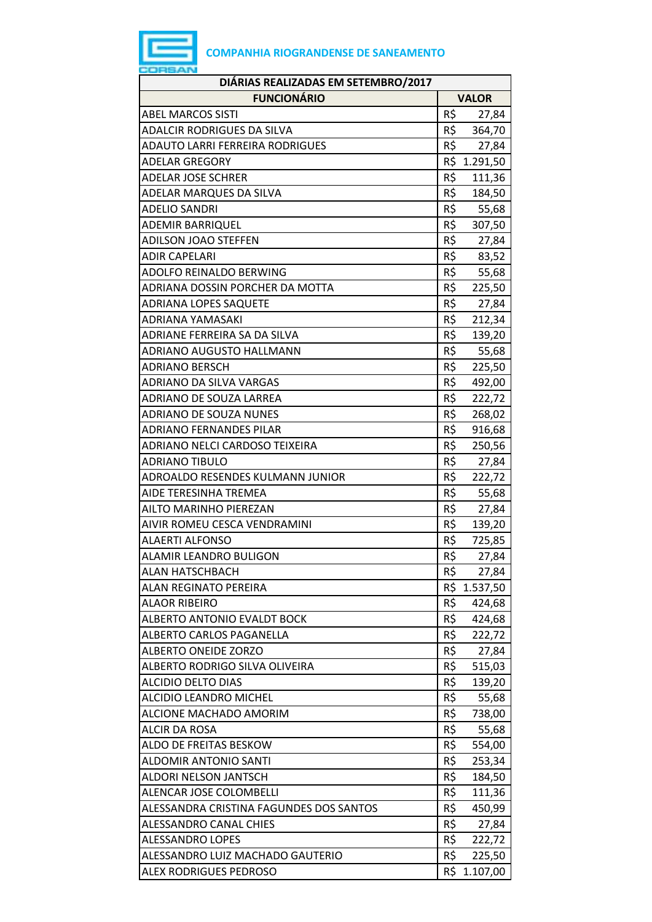| DIÁRIAS REALIZADAS EM SETEMBRO/2017     |              |              |
|-----------------------------------------|--------------|--------------|
| <b>FUNCIONÁRIO</b>                      | <b>VALOR</b> |              |
| <b>ABEL MARCOS SISTI</b>                | R\$          | 27,84        |
| <b>ADALCIR RODRIGUES DA SILVA</b>       | R\$          | 364,70       |
| ADAUTO LARRI FERREIRA RODRIGUES         | R\$          | 27,84        |
| <b>ADELAR GREGORY</b>                   |              | R\$ 1.291,50 |
| <b>ADELAR JOSE SCHRER</b>               | R\$          | 111,36       |
| ADELAR MARQUES DA SILVA                 | R\$          | 184,50       |
| <b>ADELIO SANDRI</b>                    | R\$          | 55,68        |
| <b>ADEMIR BARRIQUEL</b>                 | R\$          | 307,50       |
| ADILSON JOAO STEFFEN                    | R\$          | 27,84        |
| <b>ADIR CAPELARI</b>                    | R\$          | 83,52        |
| ADOLFO REINALDO BERWING                 | R\$          | 55,68        |
| ADRIANA DOSSIN PORCHER DA MOTTA         | R\$          | 225,50       |
| ADRIANA LOPES SAQUETE                   | R\$          | 27,84        |
| ADRIANA YAMASAKI                        | R\$          | 212,34       |
| ADRIANE FERREIRA SA DA SILVA            | R\$          | 139,20       |
| ADRIANO AUGUSTO HALLMANN                | R\$          | 55,68        |
| <b>ADRIANO BERSCH</b>                   | R\$          | 225,50       |
| ADRIANO DA SILVA VARGAS                 | R\$          | 492,00       |
| ADRIANO DE SOUZA LARREA                 | R\$          | 222,72       |
| <b>ADRIANO DE SOUZA NUNES</b>           | R\$          | 268,02       |
| <b>ADRIANO FERNANDES PILAR</b>          | R\$          | 916,68       |
| ADRIANO NELCI CARDOSO TEIXEIRA          | R\$          | 250,56       |
| <b>ADRIANO TIBULO</b>                   | R\$          | 27,84        |
| ADROALDO RESENDES KULMANN JUNIOR        | R\$          | 222,72       |
| AIDE TERESINHA TREMEA                   | R\$          | 55,68        |
| AILTO MARINHO PIEREZAN                  | R\$          | 27,84        |
| AIVIR ROMEU CESCA VENDRAMINI            | R\$          | 139,20       |
| <b>ALAERTI ALFONSO</b>                  | R\$          | 725,85       |
| ALAMIR LEANDRO BULIGON                  | R\$          | 27,84        |
| <b>ALAN HATSCHBACH</b>                  | R\$          | 27,84        |
| <b>ALAN REGINATO PEREIRA</b>            |              | R\$ 1.537,50 |
| <b>ALAOR RIBEIRO</b>                    | R\$          | 424,68       |
| <b>ALBERTO ANTONIO EVALDT BOCK</b>      | R\$          | 424,68       |
| ALBERTO CARLOS PAGANELLA                | R\$          | 222,72       |
| <b>ALBERTO ONEIDE ZORZO</b>             | R\$          | 27,84        |
| ALBERTO RODRIGO SILVA OLIVEIRA          | R\$          | 515,03       |
| <b>ALCIDIO DELTO DIAS</b>               | R\$          | 139,20       |
| <b>ALCIDIO LEANDRO MICHEL</b>           | R\$          | 55,68        |
| ALCIONE MACHADO AMORIM                  | R\$          | 738,00       |
| <b>ALCIR DA ROSA</b>                    | R\$          | 55,68        |
| ALDO DE FREITAS BESKOW                  | R\$          | 554,00       |
| <b>ALDOMIR ANTONIO SANTI</b>            | R\$          | 253,34       |
| <b>ALDORI NELSON JANTSCH</b>            | R\$          | 184,50       |
| ALENCAR JOSE COLOMBELLI                 | R\$          | 111,36       |
| ALESSANDRA CRISTINA FAGUNDES DOS SANTOS | R\$          | 450,99       |
| ALESSANDRO CANAL CHIES                  | R\$          | 27,84        |
| <b>ALESSANDRO LOPES</b>                 | R\$          | 222,72       |
| ALESSANDRO LUIZ MACHADO GAUTERIO        | R\$          | 225,50       |
| ALEX RODRIGUES PEDROSO                  |              | R\$ 1.107,00 |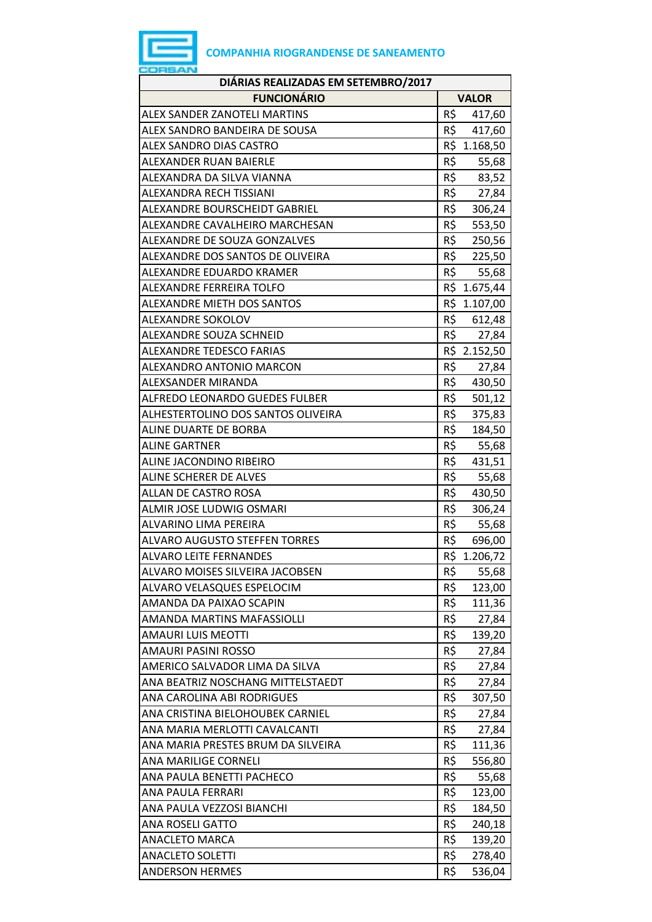

| DIÁRIAS REALIZADAS EM SETEMBRO/2017  |     |              |
|--------------------------------------|-----|--------------|
| <b>FUNCIONÁRIO</b>                   |     | <b>VALOR</b> |
| <b>ALEX SANDER ZANOTELI MARTINS</b>  | R\$ | 417,60       |
| ALEX SANDRO BANDEIRA DE SOUSA        | R\$ | 417,60       |
| <b>ALEX SANDRO DIAS CASTRO</b>       |     | R\$ 1.168,50 |
| ALEXANDER RUAN BAIERLE               | R\$ | 55,68        |
| ALEXANDRA DA SILVA VIANNA            | R\$ | 83,52        |
| ALEXANDRA RECH TISSIANI              | R\$ | 27,84        |
| ALEXANDRE BOURSCHEIDT GABRIEL        | R\$ | 306,24       |
| ALEXANDRE CAVALHEIRO MARCHESAN       | R\$ | 553,50       |
| ALEXANDRE DE SOUZA GONZALVES         | R\$ | 250,56       |
| ALEXANDRE DOS SANTOS DE OLIVEIRA     | R\$ | 225,50       |
| ALEXANDRE EDUARDO KRAMER             | R\$ | 55,68        |
| ALEXANDRE FERREIRA TOLFO             |     | R\$ 1.675,44 |
| <b>ALEXANDRE MIETH DOS SANTOS</b>    |     | R\$ 1.107,00 |
| <b>ALEXANDRE SOKOLOV</b>             |     | R\$ 612,48   |
| ALEXANDRE SOUZA SCHNEID              | R\$ | 27,84        |
| <b>ALEXANDRE TEDESCO FARIAS</b>      |     | R\$ 2.152,50 |
| ALEXANDRO ANTONIO MARCON             | R\$ | 27,84        |
| ALEXSANDER MIRANDA                   |     | R\$ 430,50   |
| ALFREDO LEONARDO GUEDES FULBER       | R\$ | 501,12       |
| ALHESTERTOLINO DOS SANTOS OLIVEIRA   | R\$ | 375,83       |
| ALINE DUARTE DE BORBA                | R\$ | 184,50       |
| <b>ALINE GARTNER</b>                 | R\$ | 55,68        |
| ALINE JACONDINO RIBEIRO              | R\$ | 431,51       |
| ALINE SCHERER DE ALVES               | R\$ | 55,68        |
| ALLAN DE CASTRO ROSA                 | R\$ | 430,50       |
| ALMIR JOSE LUDWIG OSMARI             | R\$ | 306,24       |
| <b>ALVARINO LIMA PEREIRA</b>         | R\$ | 55,68        |
| <b>ALVARO AUGUSTO STEFFEN TORRES</b> | R\$ | 696,00       |
| <b>ALVARO LEITE FERNANDES</b>        |     | R\$ 1.206,72 |
| ALVARO MOISES SILVEIRA JACOBSEN      | R\$ | 55,68        |
| ALVARO VELASQUES ESPELOCIM           | R\$ | 123,00       |
| AMANDA DA PAIXAO SCAPIN              | R\$ | 111,36       |
| <b>AMANDA MARTINS MAFASSIOLLI</b>    | R\$ | 27,84        |
| <b>AMAURI LUIS MEOTTI</b>            | R\$ | 139,20       |
| <b>AMAURI PASINI ROSSO</b>           | R\$ | 27,84        |
| AMERICO SALVADOR LIMA DA SILVA       | R\$ | 27,84        |
| ANA BEATRIZ NOSCHANG MITTELSTAEDT    | R\$ | 27,84        |
| ANA CAROLINA ABI RODRIGUES           | R\$ | 307,50       |
| ANA CRISTINA BIELOHOUBEK CARNIEL     | R\$ | 27,84        |
| ANA MARIA MERLOTTI CAVALCANTI        | R\$ | 27,84        |
| ANA MARIA PRESTES BRUM DA SILVEIRA   | R\$ | 111,36       |
| ANA MARILIGE CORNELI                 | R\$ | 556,80       |
| ANA PAULA BENETTI PACHECO            | R\$ | 55,68        |
| ANA PAULA FERRARI                    | R\$ | 123,00       |
| ANA PAULA VEZZOSI BIANCHI            | R\$ | 184,50       |
| ANA ROSELI GATTO                     | R\$ | 240,18       |
| <b>ANACLETO MARCA</b>                | R\$ | 139,20       |
| <b>ANACLETO SOLETTI</b>              | R\$ | 278,40       |
| <b>ANDERSON HERMES</b>               | R\$ | 536,04       |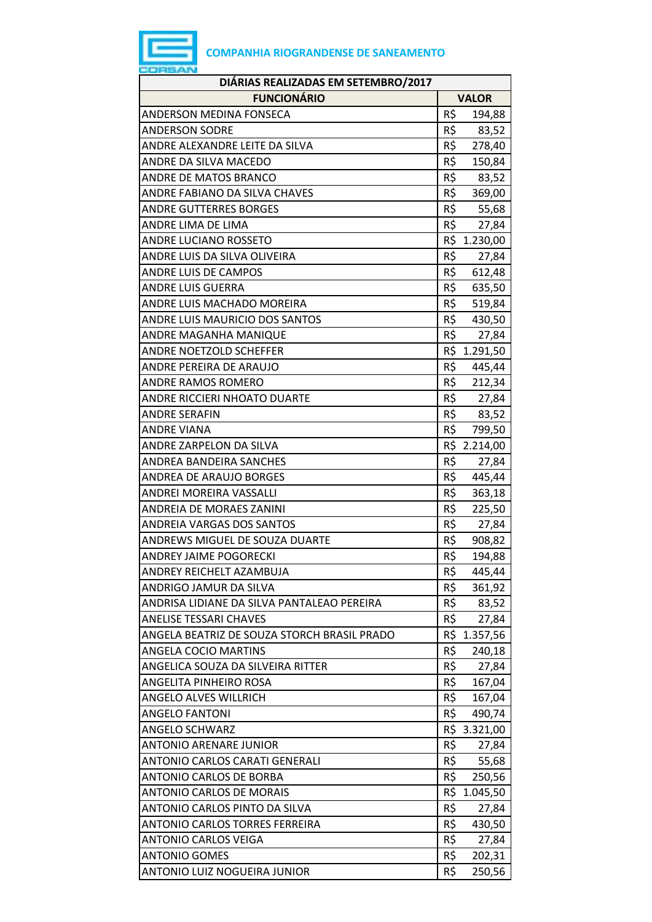| DIÁRIAS REALIZADAS EM SETEMBRO/2017         |     |              |
|---------------------------------------------|-----|--------------|
| <b>FUNCIONÁRIO</b>                          |     | <b>VALOR</b> |
| ANDERSON MEDINA FONSECA                     | R\$ | 194,88       |
| <b>ANDERSON SODRE</b>                       | R\$ | 83,52        |
| ANDRE ALEXANDRE LEITE DA SILVA              | R\$ | 278,40       |
| ANDRE DA SILVA MACEDO                       | R\$ | 150,84       |
| ANDRE DE MATOS BRANCO                       | R\$ | 83,52        |
| ANDRE FABIANO DA SILVA CHAVES               | R\$ | 369,00       |
| <b>ANDRE GUTTERRES BORGES</b>               | R\$ | 55,68        |
| ANDRE LIMA DE LIMA                          | R\$ | 27,84        |
| ANDRE LUCIANO ROSSETO                       |     | R\$ 1.230,00 |
| ANDRE LUIS DA SILVA OLIVEIRA                | R\$ | 27,84        |
| ANDRE LUIS DE CAMPOS                        | R\$ | 612,48       |
| <b>ANDRE LUIS GUERRA</b>                    | R\$ | 635,50       |
| ANDRE LUIS MACHADO MOREIRA                  | R\$ | 519,84       |
| ANDRE LUIS MAURICIO DOS SANTOS              |     | R\$ 430,50   |
| ANDRE MAGANHA MANIQUE                       | R\$ | 27,84        |
| ANDRE NOETZOLD SCHEFFER                     |     | R\$ 1.291,50 |
| ANDRE PEREIRA DE ARAUJO                     | R\$ | 445,44       |
| <b>ANDRE RAMOS ROMERO</b>                   |     | R\$ 212,34   |
| ANDRE RICCIERI NHOATO DUARTE                |     | R\$ 27,84    |
| <b>ANDRE SERAFIN</b>                        | R\$ | 83,52        |
| <b>ANDRE VIANA</b>                          | R\$ | 799,50       |
| ANDRE ZARPELON DA SILVA                     |     | R\$ 2.214,00 |
| ANDREA BANDEIRA SANCHES                     | R\$ | 27,84        |
| ANDREA DE ARAUJO BORGES                     | R\$ | 445,44       |
| ANDREI MOREIRA VASSALLI                     | R\$ | 363,18       |
| ANDREIA DE MORAES ZANINI                    | R\$ | 225,50       |
| ANDREIA VARGAS DOS SANTOS                   | R\$ | 27,84        |
| ANDREWS MIGUEL DE SOUZA DUARTE              | R\$ | 908,82       |
| <b>ANDREY JAIME POGORECKI</b>               | R\$ | 194,88       |
| ANDREY REICHELT AZAMBUJA                    | R\$ | 445,44       |
| ANDRIGO JAMUR DA SILVA                      | R\$ | 361,92       |
| ANDRISA LIDIANE DA SILVA PANTALEAO PEREIRA  | R\$ | 83,52        |
| <b>ANELISE TESSARI CHAVES</b>               | R\$ | 27,84        |
| ANGELA BEATRIZ DE SOUZA STORCH BRASIL PRADO |     | R\$ 1.357,56 |
| <b>ANGELA COCIO MARTINS</b>                 | R\$ | 240,18       |
| ANGELICA SOUZA DA SILVEIRA RITTER           | R\$ | 27,84        |
| ANGELITA PINHEIRO ROSA                      | R\$ | 167,04       |
| ANGELO ALVES WILLRICH                       | R\$ | 167,04       |
| <b>ANGELO FANTONI</b>                       | R\$ | 490,74       |
| ANGELO SCHWARZ                              |     | R\$ 3.321,00 |
| <b>ANTONIO ARENARE JUNIOR</b>               | R\$ | 27,84        |
| ANTONIO CARLOS CARATI GENERALI              | R\$ | 55,68        |
| ANTONIO CARLOS DE BORBA                     | R\$ | 250,56       |
| <b>ANTONIO CARLOS DE MORAIS</b>             |     | R\$ 1.045,50 |
| ANTONIO CARLOS PINTO DA SILVA               | R\$ | 27,84        |
| <b>ANTONIO CARLOS TORRES FERREIRA</b>       | R\$ | 430,50       |
| <b>ANTONIO CARLOS VEIGA</b>                 | R\$ | 27,84        |
| <b>ANTONIO GOMES</b>                        | R\$ | 202,31       |
| ANTONIO LUIZ NOGUEIRA JUNIOR                | R\$ | 250,56       |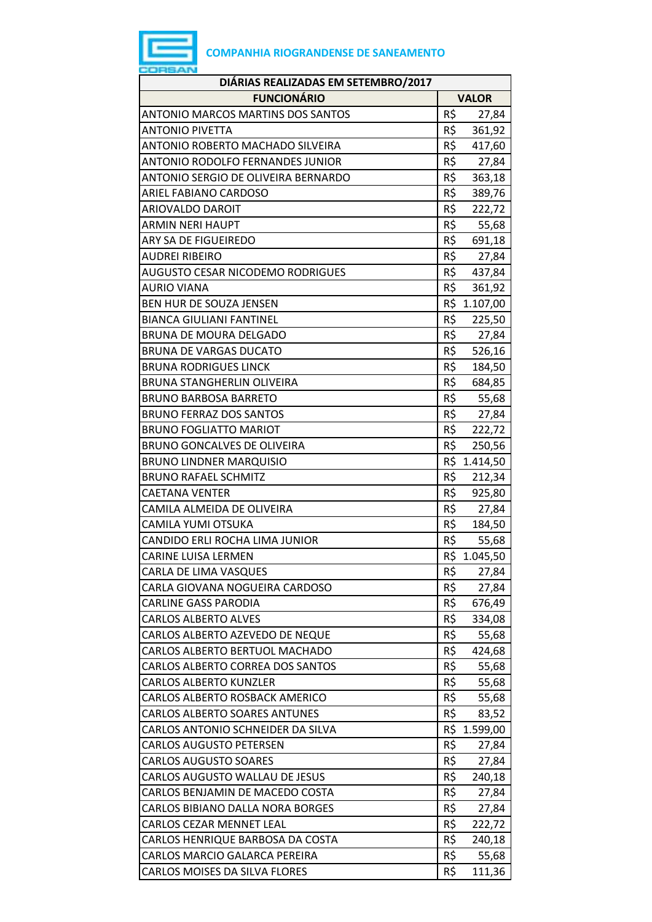

| DIÁRIAS REALIZADAS EM SETEMBRO/2017      |     |              |
|------------------------------------------|-----|--------------|
| <b>FUNCIONÁRIO</b>                       |     | <b>VALOR</b> |
| <b>ANTONIO MARCOS MARTINS DOS SANTOS</b> | R\$ | 27,84        |
| <b>ANTONIO PIVETTA</b>                   | R\$ | 361,92       |
| ANTONIO ROBERTO MACHADO SILVEIRA         | R\$ | 417,60       |
| ANTONIO RODOLFO FERNANDES JUNIOR         | R\$ | 27,84        |
| ANTONIO SERGIO DE OLIVEIRA BERNARDO      | R\$ | 363,18       |
| ARIEL FABIANO CARDOSO                    | R\$ | 389,76       |
| <b>ARIOVALDO DAROIT</b>                  | R\$ | 222,72       |
| <b>ARMIN NERI HAUPT</b>                  | R\$ | 55,68        |
| ARY SA DE FIGUEIREDO                     | R\$ | 691,18       |
| <b>AUDREI RIBEIRO</b>                    | R\$ | 27,84        |
| <b>AUGUSTO CESAR NICODEMO RODRIGUES</b>  | R\$ | 437,84       |
| <b>AURIO VIANA</b>                       | R\$ | 361,92       |
| <b>BEN HUR DE SOUZA JENSEN</b>           |     | R\$ 1.107,00 |
| <b>BIANCA GIULIANI FANTINEL</b>          | R\$ | 225,50       |
| BRUNA DE MOURA DELGADO                   | R\$ | 27,84        |
| <b>BRUNA DE VARGAS DUCATO</b>            | R\$ | 526,16       |
| <b>BRUNA RODRIGUES LINCK</b>             | R\$ | 184,50       |
| <b>BRUNA STANGHERLIN OLIVEIRA</b>        | R\$ | 684,85       |
| <b>BRUNO BARBOSA BARRETO</b>             | R\$ | 55,68        |
| <b>BRUNO FERRAZ DOS SANTOS</b>           | R\$ | 27,84        |
| <b>BRUNO FOGLIATTO MARIOT</b>            | R\$ | 222,72       |
| <b>BRUNO GONCALVES DE OLIVEIRA</b>       | R\$ | 250,56       |
| <b>BRUNO LINDNER MARQUISIO</b>           |     | R\$ 1.414,50 |
| <b>BRUNO RAFAEL SCHMITZ</b>              | R\$ | 212,34       |
| <b>CAETANA VENTER</b>                    | R\$ | 925,80       |
| CAMILA ALMEIDA DE OLIVEIRA               | R\$ | 27,84        |
| <b>CAMILA YUMI OTSUKA</b>                | R\$ | 184,50       |
| CANDIDO ERLI ROCHA LIMA JUNIOR           | R\$ | 55,68        |
| <b>CARINE LUISA LERMEN</b>               | R\$ | 1.045,50     |
| CARLA DE LIMA VASQUES                    | R\$ | 27,84        |
| CARLA GIOVANA NOGUEIRA CARDOSO           | R\$ | 27,84        |
| <b>CARLINE GASS PARODIA</b>              | R\$ | 676,49       |
| <b>CARLOS ALBERTO ALVES</b>              | R\$ | 334,08       |
| CARLOS ALBERTO AZEVEDO DE NEQUE          | R\$ | 55,68        |
| CARLOS ALBERTO BERTUOL MACHADO           | R\$ | 424,68       |
| CARLOS ALBERTO CORREA DOS SANTOS         | R\$ | 55,68        |
| <b>CARLOS ALBERTO KUNZLER</b>            | R\$ | 55,68        |
| <b>CARLOS ALBERTO ROSBACK AMERICO</b>    | R\$ | 55,68        |
| <b>CARLOS ALBERTO SOARES ANTUNES</b>     | R\$ | 83,52        |
| CARLOS ANTONIO SCHNEIDER DA SILVA        | R\$ | 1.599,00     |
| <b>CARLOS AUGUSTO PETERSEN</b>           | R\$ | 27,84        |
| <b>CARLOS AUGUSTO SOARES</b>             | R\$ | 27,84        |
| CARLOS AUGUSTO WALLAU DE JESUS           | R\$ | 240,18       |
| CARLOS BENJAMIN DE MACEDO COSTA          | R\$ | 27,84        |
| CARLOS BIBIANO DALLA NORA BORGES         | R\$ | 27,84        |
| <b>CARLOS CEZAR MENNET LEAL</b>          | R\$ | 222,72       |
| CARLOS HENRIQUE BARBOSA DA COSTA         | R\$ | 240,18       |
| CARLOS MARCIO GALARCA PEREIRA            | R\$ | 55,68        |
| CARLOS MOISES DA SILVA FLORES            | R\$ | 111,36       |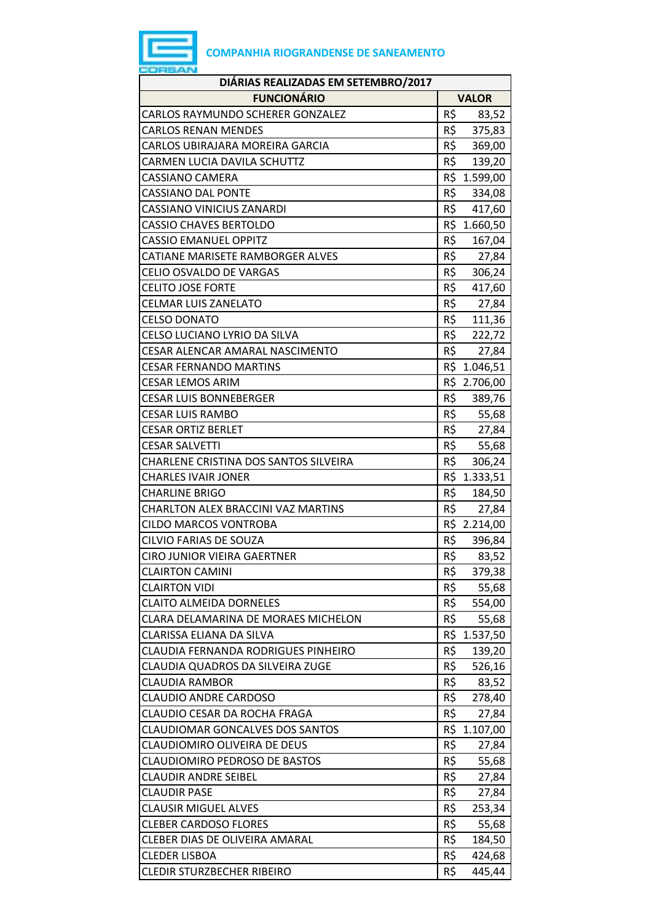

| DIÁRIAS REALIZADAS EM SETEMBRO/2017       |                 |  |
|-------------------------------------------|-----------------|--|
| <b>FUNCIONÁRIO</b>                        | <b>VALOR</b>    |  |
| <b>CARLOS RAYMUNDO SCHERER GONZALEZ</b>   | R\$<br>83,52    |  |
| <b>CARLOS RENAN MENDES</b>                | R\$<br>375,83   |  |
| CARLOS UBIRAJARA MOREIRA GARCIA           | R\$ 369,00      |  |
| CARMEN LUCIA DAVILA SCHUTTZ               | R\$ 139,20      |  |
| CASSIANO CAMERA                           | R\$ 1.599,00    |  |
| <b>CASSIANO DAL PONTE</b>                 | R\$ 334,08      |  |
| <b>CASSIANO VINICIUS ZANARDI</b>          | R\$<br>417,60   |  |
| <b>CASSIO CHAVES BERTOLDO</b>             | R\$ 1.660,50    |  |
| <b>CASSIO EMANUEL OPPITZ</b>              | R\$<br>167,04   |  |
| CATIANE MARISETE RAMBORGER ALVES          | R\$<br>27,84    |  |
| <b>CELIO OSVALDO DE VARGAS</b>            | R\$<br>306,24   |  |
| <b>CELITO JOSE FORTE</b>                  | R\$<br>417,60   |  |
| <b>CELMAR LUIS ZANELATO</b>               | R\$ 27,84       |  |
| <b>CELSO DONATO</b>                       | R\$<br>111,36   |  |
| CELSO LUCIANO LYRIO DA SILVA              | R\$<br>222,72   |  |
| CESAR ALENCAR AMARAL NASCIMENTO           | R\$<br>27,84    |  |
| <b>CESAR FERNANDO MARTINS</b>             | R\$ 1.046,51    |  |
| <b>CESAR LEMOS ARIM</b>                   | R\$ 2.706,00    |  |
| <b>CESAR LUIS BONNEBERGER</b>             | R\$ 389,76      |  |
| <b>CESAR LUIS RAMBO</b>                   | R\$<br>55,68    |  |
| <b>CESAR ORTIZ BERLET</b>                 | R\$<br>27,84    |  |
| <b>CESAR SALVETTI</b>                     | R\$<br>55,68    |  |
| CHARLENE CRISTINA DOS SANTOS SILVEIRA     | R\$<br>306,24   |  |
| <b>CHARLES IVAIR JONER</b>                | R\$ 1.333,51    |  |
| <b>CHARLINE BRIGO</b>                     | R\$<br>184,50   |  |
| <b>CHARLTON ALEX BRACCINI VAZ MARTINS</b> | R\$<br>27,84    |  |
| <b>CILDO MARCOS VONTROBA</b>              | R\$ 2.214,00    |  |
| <b>CILVIO FARIAS DE SOUZA</b>             | R\$ 396,84      |  |
| <b>CIRO JUNIOR VIEIRA GAERTNER</b>        | R\$<br>83,52    |  |
| <b>CLAIRTON CAMINI</b>                    | R\$<br>379,38   |  |
| <b>CLAIRTON VIDI</b>                      | R\$<br>55,68    |  |
| <b>CLAITO ALMEIDA DORNELES</b>            | R\$<br>554,00   |  |
| CLARA DELAMARINA DE MORAES MICHELON       | R\$<br>55,68    |  |
| CLARISSA ELIANA DA SILVA                  | R\$ 1.537,50    |  |
| CLAUDIA FERNANDA RODRIGUES PINHEIRO       | R\$<br>139,20   |  |
| CLAUDIA QUADROS DA SILVEIRA ZUGE          | R\$<br>526,16   |  |
| CLAUDIA RAMBOR                            | R\$<br>83,52    |  |
| <b>CLAUDIO ANDRE CARDOSO</b>              | R\$<br>278,40   |  |
| CLAUDIO CESAR DA ROCHA FRAGA              | R\$<br>27,84    |  |
| CLAUDIOMAR GONCALVES DOS SANTOS           | R\$<br>1.107,00 |  |
| CLAUDIOMIRO OLIVEIRA DE DEUS              | R\$<br>27,84    |  |
| <b>CLAUDIOMIRO PEDROSO DE BASTOS</b>      | R\$<br>55,68    |  |
| CLAUDIR ANDRE SEIBEL                      | R\$<br>27,84    |  |
| <b>CLAUDIR PASE</b>                       | R\$<br>27,84    |  |
| <b>CLAUSIR MIGUEL ALVES</b>               | R\$<br>253,34   |  |
| <b>CLEBER CARDOSO FLORES</b>              | R\$<br>55,68    |  |
| CLEBER DIAS DE OLIVEIRA AMARAL            | R\$<br>184,50   |  |
| <b>CLEDER LISBOA</b>                      | R\$<br>424,68   |  |
| <b>CLEDIR STURZBECHER RIBEIRO</b>         | R\$<br>445,44   |  |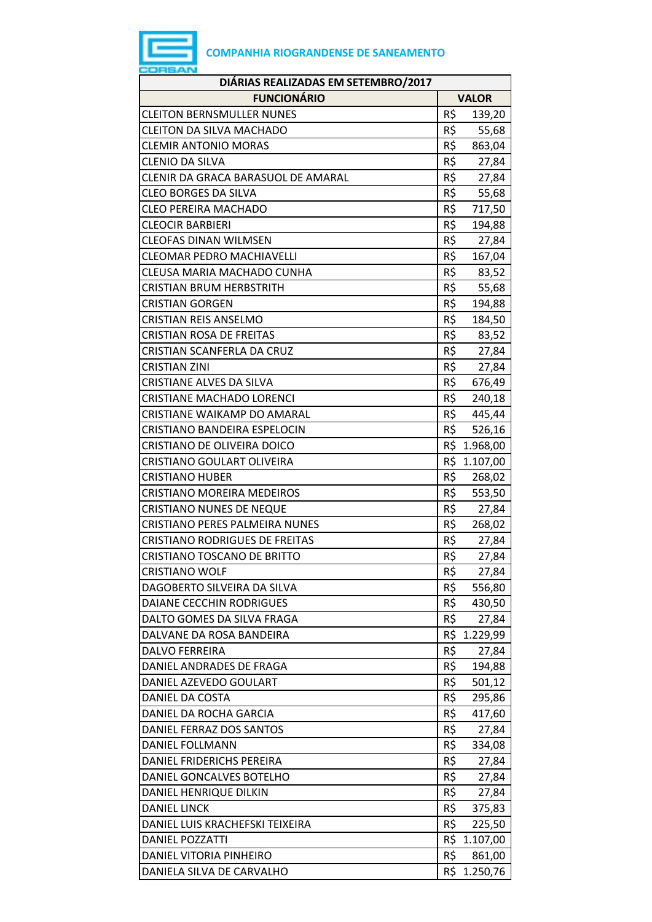

| DIÁRIAS REALIZADAS EM SETEMBRO/2017   |     |              |
|---------------------------------------|-----|--------------|
| <b>FUNCIONÁRIO</b>                    |     | <b>VALOR</b> |
| <b>CLEITON BERNSMULLER NUNES</b>      | R\$ | 139,20       |
| <b>CLEITON DA SILVA MACHADO</b>       | R\$ | 55,68        |
| <b>CLEMIR ANTONIO MORAS</b>           | R\$ | 863,04       |
| <b>CLENIO DA SILVA</b>                | R\$ | 27,84        |
| CLENIR DA GRACA BARASUOL DE AMARAL    | R\$ | 27,84        |
| <b>CLEO BORGES DA SILVA</b>           | R\$ | 55,68        |
| <b>CLEO PEREIRA MACHADO</b>           | R\$ | 717,50       |
| <b>CLEOCIR BARBIERI</b>               | R\$ | 194,88       |
| <b>CLEOFAS DINAN WILMSEN</b>          | R\$ | 27,84        |
| <b>CLEOMAR PEDRO MACHIAVELLI</b>      | R\$ | 167,04       |
| CLEUSA MARIA MACHADO CUNHA            | R\$ | 83,52        |
| <b>CRISTIAN BRUM HERBSTRITH</b>       | R\$ | 55,68        |
| <b>CRISTIAN GORGEN</b>                | R\$ | 194,88       |
| <b>CRISTIAN REIS ANSELMO</b>          | R\$ | 184,50       |
| <b>CRISTIAN ROSA DE FREITAS</b>       | R\$ | 83,52        |
| CRISTIAN SCANFERLA DA CRUZ            | R\$ | 27,84        |
| <b>CRISTIAN ZINI</b>                  | R\$ | 27,84        |
| <b>CRISTIANE ALVES DA SILVA</b>       | R\$ | 676,49       |
| CRISTIANE MACHADO LORENCI             | R\$ | 240,18       |
| CRISTIANE WAIKAMP DO AMARAL           | R\$ | 445,44       |
| CRISTIANO BANDEIRA ESPELOCIN          | R\$ | 526,16       |
| CRISTIANO DE OLIVEIRA DOICO           | R\$ | 1.968,00     |
| CRISTIANO GOULART OLIVEIRA            |     | R\$ 1.107,00 |
| <b>CRISTIANO HUBER</b>                | R\$ | 268,02       |
| <b>CRISTIANO MOREIRA MEDEIROS</b>     | R\$ | 553,50       |
| <b>CRISTIANO NUNES DE NEQUE</b>       | R\$ | 27,84        |
| <b>CRISTIANO PERES PALMEIRA NUNES</b> | R\$ | 268,02       |
| <b>CRISTIANO RODRIGUES DE FREITAS</b> | R\$ | 27,84        |
| <b>CRISTIANO TOSCANO DE BRITTO</b>    | R\$ | 27,84        |
| <b>CRISTIANO WOLF</b>                 | R\$ | 27,84        |
| DAGOBERTO SILVEIRA DA SILVA           | R\$ | 556,80       |
| DAIANE CECCHIN RODRIGUES              | R\$ | 430,50       |
| DALTO GOMES DA SILVA FRAGA            | R\$ | 27,84        |
| DALVANE DA ROSA BANDEIRA              | R\$ | 1.229,99     |
| <b>DALVO FERREIRA</b>                 | R\$ | 27,84        |
| DANIEL ANDRADES DE FRAGA              | R\$ | 194,88       |
| DANIEL AZEVEDO GOULART                | R\$ | 501,12       |
| DANIEL DA COSTA                       | R\$ | 295,86       |
| DANIEL DA ROCHA GARCIA                | R\$ | 417,60       |
| DANIEL FERRAZ DOS SANTOS              | R\$ | 27,84        |
| DANIEL FOLLMANN                       | R\$ | 334,08       |
| DANIEL FRIDERICHS PEREIRA             | R\$ | 27,84        |
| DANIEL GONCALVES BOTELHO              | R\$ | 27,84        |
| DANIEL HENRIQUE DILKIN                | R\$ | 27,84        |
| <b>DANIEL LINCK</b>                   | R\$ | 375,83       |
| DANIEL LUIS KRACHEFSKI TEIXEIRA       | R\$ | 225,50       |
| <b>DANIEL POZZATTI</b>                |     | R\$ 1.107,00 |
| DANIEL VITORIA PINHEIRO               | R\$ | 861,00       |
| DANIELA SILVA DE CARVALHO             |     | R\$ 1.250,76 |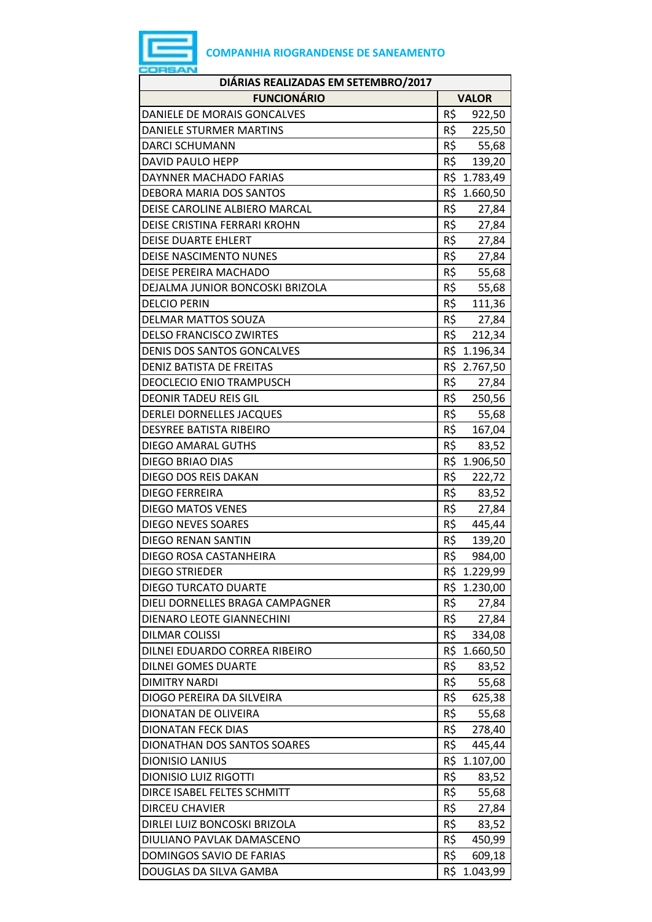

| DIÁRIAS REALIZADAS EM SETEMBRO/2017 |                          |  |  |
|-------------------------------------|--------------------------|--|--|
| <b>FUNCIONÁRIO</b>                  | <b>VALOR</b>             |  |  |
| DANIELE DE MORAIS GONCALVES         | R\$<br>922,50            |  |  |
| <b>DANIELE STURMER MARTINS</b>      | R\$<br>225,50            |  |  |
| <b>DARCI SCHUMANN</b>               | R\$<br>55,68             |  |  |
| DAVID PAULO HEPP                    | R\$ 139,20               |  |  |
| DAYNNER MACHADO FARIAS              | R\$ 1.783,49             |  |  |
| <b>DEBORA MARIA DOS SANTOS</b>      | R\$ 1.660,50             |  |  |
| DEISE CAROLINE ALBIERO MARCAL       | R\$<br>27,84             |  |  |
| DEISE CRISTINA FERRARI KROHN        | R\$<br>27,84             |  |  |
| <b>DEISE DUARTE EHLERT</b>          | R\$<br>27,84             |  |  |
| DEISE NASCIMENTO NUNES              | R\$<br>27,84             |  |  |
| DEISE PEREIRA MACHADO               | R\$<br>55,68             |  |  |
| DEJALMA JUNIOR BONCOSKI BRIZOLA     | R\$<br>55,68             |  |  |
| <b>DELCIO PERIN</b>                 | R\$<br>111,36            |  |  |
| <b>DELMAR MATTOS SOUZA</b>          | R\$<br>27,84             |  |  |
| <b>DELSO FRANCISCO ZWIRTES</b>      | R\$<br>212,34            |  |  |
| <b>DENIS DOS SANTOS GONCALVES</b>   | R\$ 1.196,34             |  |  |
| <b>DENIZ BATISTA DE FREITAS</b>     | R\$ 2.767,50             |  |  |
| <b>DEOCLECIO ENIO TRAMPUSCH</b>     | R\$<br>27,84             |  |  |
| <b>DEONIR TADEU REIS GIL</b>        | R\$<br>250,56            |  |  |
| <b>DERLEI DORNELLES JACQUES</b>     | R\$<br>55,68             |  |  |
| <b>DESYREE BATISTA RIBEIRO</b>      | R\$<br>167,04            |  |  |
| <b>DIEGO AMARAL GUTHS</b>           | R\$<br>83,52             |  |  |
| <b>DIEGO BRIAO DIAS</b>             | R\$ 1.906,50             |  |  |
| DIEGO DOS REIS DAKAN                | R\$<br>222,72            |  |  |
| <b>DIEGO FERREIRA</b>               | R\$<br>83,52             |  |  |
| <b>DIEGO MATOS VENES</b>            | R\$<br>27,84             |  |  |
| DIEGO NEVES SOARES                  | R\$<br>445,44            |  |  |
| <b>DIEGO RENAN SANTIN</b>           | R\$<br>139,20            |  |  |
| DIEGO ROSA CASTANHEIRA              | R\$<br>984,00            |  |  |
| <b>DIEGO STRIEDER</b>               | R\$ 1.229,99             |  |  |
| <b>DIEGO TURCATO DUARTE</b>         | R\$ 1.230,00             |  |  |
| DIELI DORNELLES BRAGA CAMPAGNER     | R\$<br>27,84             |  |  |
| DIENARO LEOTE GIANNECHINI           | R\$<br>27,84             |  |  |
| <b>DILMAR COLISSI</b>               | R\$<br>334,08            |  |  |
| DILNEI EDUARDO CORREA RIBEIRO       | R\$ 1.660,50             |  |  |
| <b>DILNEI GOMES DUARTE</b>          | R\$<br>83,52             |  |  |
| <b>DIMITRY NARDI</b>                | R\$<br>55,68             |  |  |
| DIOGO PEREIRA DA SILVEIRA           | R\$<br>625,38            |  |  |
| DIONATAN DE OLIVEIRA                | R\$<br>55,68             |  |  |
| <b>DIONATAN FECK DIAS</b>           | R\$<br>278,40            |  |  |
| DIONATHAN DOS SANTOS SOARES         | R\$<br>445,44            |  |  |
| <b>DIONISIO LANIUS</b>              | R\$ 1.107,00             |  |  |
| <b>DIONISIO LUIZ RIGOTTI</b>        | R\$<br>83,52             |  |  |
| DIRCE ISABEL FELTES SCHMITT         | $R\overline{S}$<br>55,68 |  |  |
| <b>DIRCEU CHAVIER</b>               | R\$<br>27,84             |  |  |
| DIRLEI LUIZ BONCOSKI BRIZOLA        | R\$<br>83,52             |  |  |
| DIULIANO PAVLAK DAMASCENO           | R\$<br>450,99            |  |  |
| DOMINGOS SAVIO DE FARIAS            | R\$<br>609,18            |  |  |
| DOUGLAS DA SILVA GAMBA              | R\$ 1.043,99             |  |  |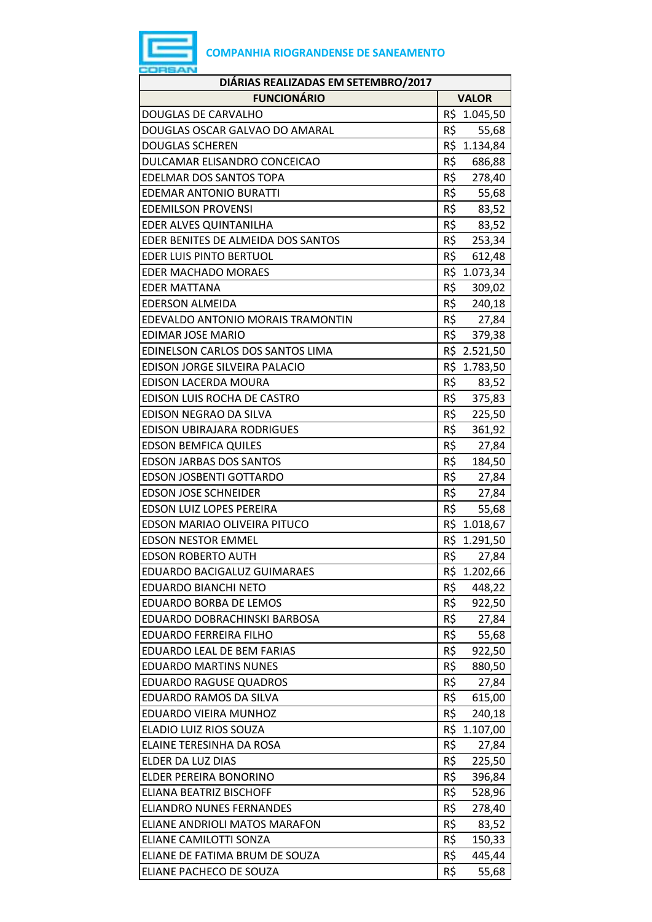## **COMPANHIA RIOGRANDENSE DE SANEAMENTO**

| DIÁRIAS REALIZADAS EM SETEMBRO/2017 |     |              |
|-------------------------------------|-----|--------------|
| <b>FUNCIONÁRIO</b>                  |     | <b>VALOR</b> |
| DOUGLAS DE CARVALHO                 |     | R\$ 1.045,50 |
| DOUGLAS OSCAR GALVAO DO AMARAL      | R\$ | 55,68        |
| <b>DOUGLAS SCHEREN</b>              |     | R\$ 1.134,84 |
| DULCAMAR ELISANDRO CONCEICAO        | R\$ | 686,88       |
| <b>EDELMAR DOS SANTOS TOPA</b>      | R\$ | 278,40       |
| <b>EDEMAR ANTONIO BURATTI</b>       |     | R\$ 55,68    |
| <b>EDEMILSON PROVENSI</b>           | R\$ | 83,52        |
| EDER ALVES QUINTANILHA              | R\$ | 83,52        |
| EDER BENITES DE ALMEIDA DOS SANTOS  | R\$ | 253,34       |
| <b>EDER LUIS PINTO BERTUOL</b>      | R\$ | 612,48       |
| <b>EDER MACHADO MORAES</b>          |     | R\$ 1.073,34 |
| <b>EDER MATTANA</b>                 | R\$ | 309,02       |
| <b>EDERSON ALMEIDA</b>              | R\$ | 240,18       |
| EDEVALDO ANTONIO MORAIS TRAMONTIN   |     | R\$ 27,84    |
| <b>EDIMAR JOSE MARIO</b>            | R\$ | 379,38       |
| EDINELSON CARLOS DOS SANTOS LIMA    |     | R\$ 2.521,50 |
| EDISON JORGE SILVEIRA PALACIO       |     | R\$ 1.783,50 |
| EDISON LACERDA MOURA                | R\$ | 83,52        |
| EDISON LUIS ROCHA DE CASTRO         |     | R\$ 375,83   |
| EDISON NEGRAO DA SILVA              | R\$ | 225,50       |
| EDISON UBIRAJARA RODRIGUES          | R\$ | 361,92       |
| <b>EDSON BEMFICA QUILES</b>         | R\$ | 27,84        |
| <b>EDSON JARBAS DOS SANTOS</b>      | R\$ | 184,50       |
| <b>EDSON JOSBENTI GOTTARDO</b>      |     | R\$ 27,84    |
| <b>EDSON JOSE SCHNEIDER</b>         | R\$ | 27,84        |
| <b>EDSON LUIZ LOPES PEREIRA</b>     | R\$ | 55,68        |
| EDSON MARIAO OLIVEIRA PITUCO        |     | R\$ 1.018,67 |
| <b>EDSON NESTOR EMMEL</b>           |     | R\$ 1.291,50 |
| <b>EDSON ROBERTO AUTH</b>           | R\$ | 27,84        |
| <b>EDUARDO BACIGALUZ GUIMARAES</b>  | R\$ | 1.202,66     |
| <b>EDUARDO BIANCHI NETO</b>         | R\$ | 448,22       |
| <b>EDUARDO BORBA DE LEMOS</b>       | R\$ | 922,50       |
| EDUARDO DOBRACHINSKI BARBOSA        | R\$ | 27,84        |
| <b>EDUARDO FERREIRA FILHO</b>       | R\$ | 55,68        |
| <b>EDUARDO LEAL DE BEM FARIAS</b>   | R\$ | 922,50       |
| <b>EDUARDO MARTINS NUNES</b>        | R\$ | 880,50       |
| <b>EDUARDO RAGUSE QUADROS</b>       | R\$ | 27,84        |
| EDUARDO RAMOS DA SILVA              | R\$ | 615,00       |
| EDUARDO VIEIRA MUNHOZ               | R\$ | 240,18       |
| ELADIO LUIZ RIOS SOUZA              | R\$ | 1.107,00     |
| ELAINE TERESINHA DA ROSA            | R\$ | 27,84        |
| ELDER DA LUZ DIAS                   | R\$ | 225,50       |
| ELDER PEREIRA BONORINO              | R\$ | 396,84       |
| ELIANA BEATRIZ BISCHOFF             | R\$ | 528,96       |
| <b>ELIANDRO NUNES FERNANDES</b>     | R\$ | 278,40       |
| ELIANE ANDRIOLI MATOS MARAFON       | R\$ | 83,52        |
| ELIANE CAMILOTTI SONZA              | R\$ | 150,33       |
| ELIANE DE FATIMA BRUM DE SOUZA      | R\$ | 445,44       |
| ELIANE PACHECO DE SOUZA             | R\$ | 55,68        |

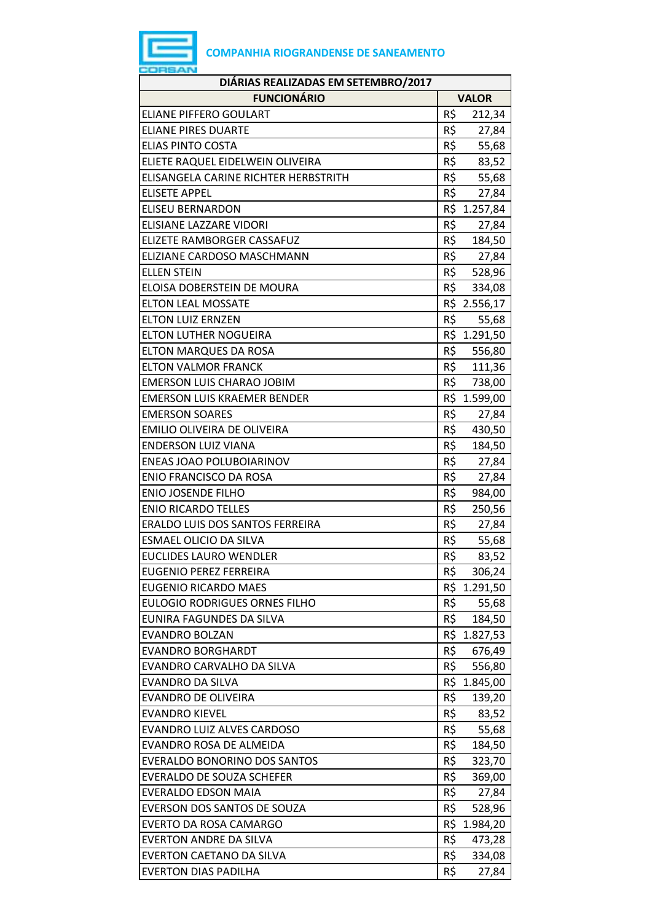

| DIÁRIAS REALIZADAS EM SETEMBRO/2017  |                 |  |  |
|--------------------------------------|-----------------|--|--|
| <b>FUNCIONÁRIO</b>                   | <b>VALOR</b>    |  |  |
| <b>ELIANE PIFFERO GOULART</b>        | R\$<br>212,34   |  |  |
| <b>ELIANE PIRES DUARTE</b>           | R\$<br>27,84    |  |  |
| <b>ELIAS PINTO COSTA</b>             | R\$<br>55,68    |  |  |
| ELIETE RAQUEL EIDELWEIN OLIVEIRA     | R\$<br>83,52    |  |  |
| ELISANGELA CARINE RICHTER HERBSTRITH | R\$<br>55,68    |  |  |
| <b>ELISETE APPEL</b>                 | R\$<br>27,84    |  |  |
| <b>ELISEU BERNARDON</b>              | R\$ 1.257,84    |  |  |
| ELISIANE LAZZARE VIDORI              | R\$<br>27,84    |  |  |
| ELIZETE RAMBORGER CASSAFUZ           | R\$<br>184,50   |  |  |
| ELIZIANE CARDOSO MASCHMANN           | R\$<br>27,84    |  |  |
| <b>ELLEN STEIN</b>                   | R\$<br>528,96   |  |  |
| ELOISA DOBERSTEIN DE MOURA           | R\$<br>334,08   |  |  |
| <b>ELTON LEAL MOSSATE</b>            | R\$ 2.556,17    |  |  |
| <b>ELTON LUIZ ERNZEN</b>             | R\$<br>55,68    |  |  |
| <b>ELTON LUTHER NOGUEIRA</b>         | R\$ 1.291,50    |  |  |
| ELTON MARQUES DA ROSA                | R\$<br>556,80   |  |  |
| <b>ELTON VALMOR FRANCK</b>           | R\$<br>111,36   |  |  |
| <b>EMERSON LUIS CHARAO JOBIM</b>     | R\$<br>738,00   |  |  |
| <b>EMERSON LUIS KRAEMER BENDER</b>   | R\$ 1.599,00    |  |  |
| <b>EMERSON SOARES</b>                | R\$<br>27,84    |  |  |
| EMILIO OLIVEIRA DE OLIVEIRA          | R\$<br>430,50   |  |  |
| <b>ENDERSON LUIZ VIANA</b>           | R\$<br>184,50   |  |  |
| <b>ENEAS JOAO POLUBOIARINOV</b>      | R\$<br>27,84    |  |  |
| <b>ENIO FRANCISCO DA ROSA</b>        | R\$<br>27,84    |  |  |
| <b>ENIO JOSENDE FILHO</b>            | R\$<br>984,00   |  |  |
| <b>ENIO RICARDO TELLES</b>           | R\$<br>250,56   |  |  |
| ERALDO LUIS DOS SANTOS FERREIRA      | R\$<br>27,84    |  |  |
| <b>ESMAEL OLICIO DA SILVA</b>        | R\$<br>55,68    |  |  |
| <b>EUCLIDES LAURO WENDLER</b>        | R\$<br>83,52    |  |  |
| <b>EUGENIO PEREZ FERREIRA</b>        | R\$<br>306,24   |  |  |
| <b>EUGENIO RICARDO MAES</b>          | R\$ 1.291,50    |  |  |
| <b>EULOGIO RODRIGUES ORNES FILHO</b> | R\$<br>55,68    |  |  |
| EUNIRA FAGUNDES DA SILVA             | R\$<br>184,50   |  |  |
| <b>EVANDRO BOLZAN</b>                | R\$<br>1.827,53 |  |  |
| <b>EVANDRO BORGHARDT</b>             | R\$<br>676,49   |  |  |
| EVANDRO CARVALHO DA SILVA            | R\$<br>556,80   |  |  |
| EVANDRO DA SILVA                     | R\$ 1.845,00    |  |  |
| EVANDRO DE OLIVEIRA                  | R\$<br>139,20   |  |  |
| <b>EVANDRO KIEVEL</b>                | R\$<br>83,52    |  |  |
| EVANDRO LUIZ ALVES CARDOSO           | R\$<br>55,68    |  |  |
| EVANDRO ROSA DE ALMEIDA              | R\$<br>184,50   |  |  |
| <b>EVERALDO BONORINO DOS SANTOS</b>  | R\$<br>323,70   |  |  |
| <b>EVERALDO DE SOUZA SCHEFER</b>     | R\$<br>369,00   |  |  |
| <b>EVERALDO EDSON MAIA</b>           | R\$<br>27,84    |  |  |
| EVERSON DOS SANTOS DE SOUZA          | R\$<br>528,96   |  |  |
| EVERTO DA ROSA CAMARGO               | R\$ 1.984,20    |  |  |
| <b>EVERTON ANDRE DA SILVA</b>        | R\$<br>473,28   |  |  |
| <b>EVERTON CAETANO DA SILVA</b>      | R\$<br>334,08   |  |  |
| <b>EVERTON DIAS PADILHA</b>          | R\$<br>27,84    |  |  |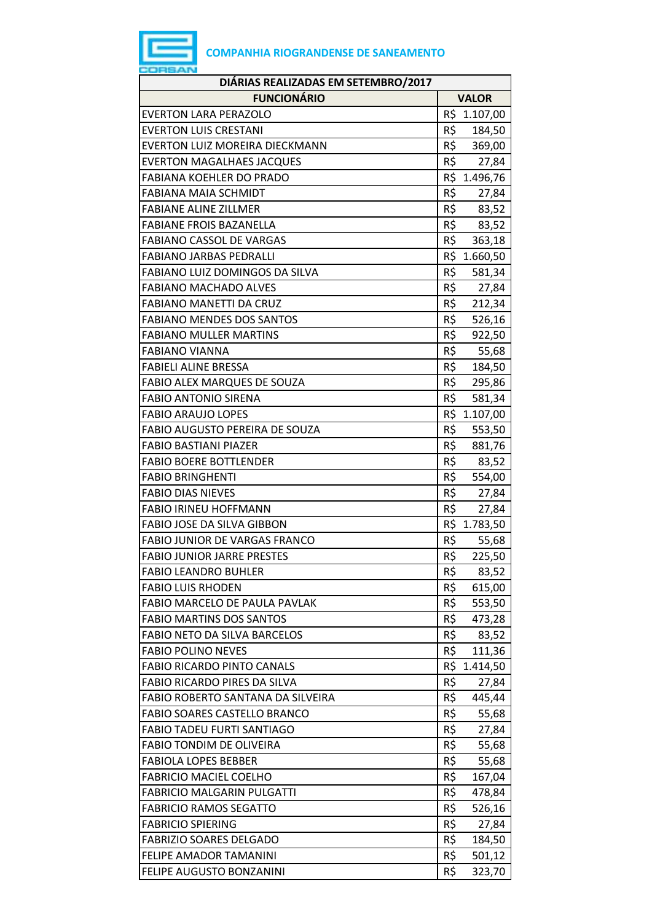

| DIÁRIAS REALIZADAS EM SETEMBRO/2017  |               |  |
|--------------------------------------|---------------|--|
| <b>FUNCIONÁRIO</b>                   | <b>VALOR</b>  |  |
| <b>EVERTON LARA PERAZOLO</b>         | R\$ 1.107,00  |  |
| <b>EVERTON LUIS CRESTANI</b>         | R\$<br>184,50 |  |
| EVERTON LUIZ MOREIRA DIECKMANN       | R\$<br>369,00 |  |
| <b>EVERTON MAGALHAES JACQUES</b>     | R\$<br>27,84  |  |
| <b>FABIANA KOEHLER DO PRADO</b>      | R\$ 1.496,76  |  |
| <b>FABIANA MAIA SCHMIDT</b>          | R\$<br>27,84  |  |
| <b>FABIANE ALINE ZILLMER</b>         | R\$<br>83,52  |  |
| <b>FABIANE FROIS BAZANELLA</b>       | R\$<br>83,52  |  |
| <b>FABIANO CASSOL DE VARGAS</b>      | R\$<br>363,18 |  |
| <b>FABIANO JARBAS PEDRALLI</b>       | R\$ 1.660,50  |  |
| FABIANO LUIZ DOMINGOS DA SILVA       | R\$<br>581,34 |  |
| <b>FABIANO MACHADO ALVES</b>         | R\$<br>27,84  |  |
| <b>FABIANO MANETTI DA CRUZ</b>       | R\$<br>212,34 |  |
| <b>FABIANO MENDES DOS SANTOS</b>     | R\$<br>526,16 |  |
| <b>FABIANO MULLER MARTINS</b>        | R\$<br>922,50 |  |
| <b>FABIANO VIANNA</b>                | R\$<br>55,68  |  |
| <b>FABIELI ALINE BRESSA</b>          | R\$<br>184,50 |  |
| <b>FABIO ALEX MARQUES DE SOUZA</b>   | R\$<br>295,86 |  |
| <b>FABIO ANTONIO SIRENA</b>          | R\$<br>581,34 |  |
| <b>FABIO ARAUJO LOPES</b>            | R\$ 1.107,00  |  |
| FABIO AUGUSTO PEREIRA DE SOUZA       | R\$<br>553,50 |  |
| <b>FABIO BASTIANI PIAZER</b>         | R\$<br>881,76 |  |
| <b>FABIO BOERE BOTTLENDER</b>        | R\$<br>83,52  |  |
| <b>FABIO BRINGHENTI</b>              | R\$<br>554,00 |  |
| <b>FABIO DIAS NIEVES</b>             | R\$<br>27,84  |  |
| <b>FABIO IRINEU HOFFMANN</b>         | R\$<br>27,84  |  |
| FABIO JOSE DA SILVA GIBBON           | R\$ 1.783,50  |  |
| <b>FABIO JUNIOR DE VARGAS FRANCO</b> | R\$<br>55,68  |  |
| <b>FABIO JUNIOR JARRE PRESTES</b>    | R\$<br>225,50 |  |
| <b>FABIO LEANDRO BUHLER</b>          | R\$<br>83,52  |  |
| <b>FABIO LUIS RHODEN</b>             | R\$<br>615,00 |  |
| FABIO MARCELO DE PAULA PAVLAK        | R\$<br>553,50 |  |
| <b>FABIO MARTINS DOS SANTOS</b>      | R\$<br>473,28 |  |
| FABIO NETO DA SILVA BARCELOS         | R\$<br>83,52  |  |
| <b>FABIO POLINO NEVES</b>            | R\$<br>111,36 |  |
| <b>FABIO RICARDO PINTO CANALS</b>    | R\$ 1.414,50  |  |
| <b>FABIO RICARDO PIRES DA SILVA</b>  | R\$<br>27,84  |  |
| FABIO ROBERTO SANTANA DA SILVEIRA    | R\$<br>445,44 |  |
| FABIO SOARES CASTELLO BRANCO         | R\$<br>55,68  |  |
| <b>FABIO TADEU FURTI SANTIAGO</b>    | R\$<br>27,84  |  |
| <b>FABIO TONDIM DE OLIVEIRA</b>      | R\$<br>55,68  |  |
| <b>FABIOLA LOPES BEBBER</b>          | R\$<br>55,68  |  |
| <b>FABRICIO MACIEL COELHO</b>        | R\$<br>167,04 |  |
| <b>FABRICIO MALGARIN PULGATTI</b>    | R\$<br>478,84 |  |
| <b>FABRICIO RAMOS SEGATTO</b>        | R\$<br>526,16 |  |
| <b>FABRICIO SPIERING</b>             | R\$<br>27,84  |  |
| <b>FABRIZIO SOARES DELGADO</b>       | R\$<br>184,50 |  |
| FELIPE AMADOR TAMANINI               | R\$<br>501,12 |  |
| FELIPE AUGUSTO BONZANINI             | R\$<br>323,70 |  |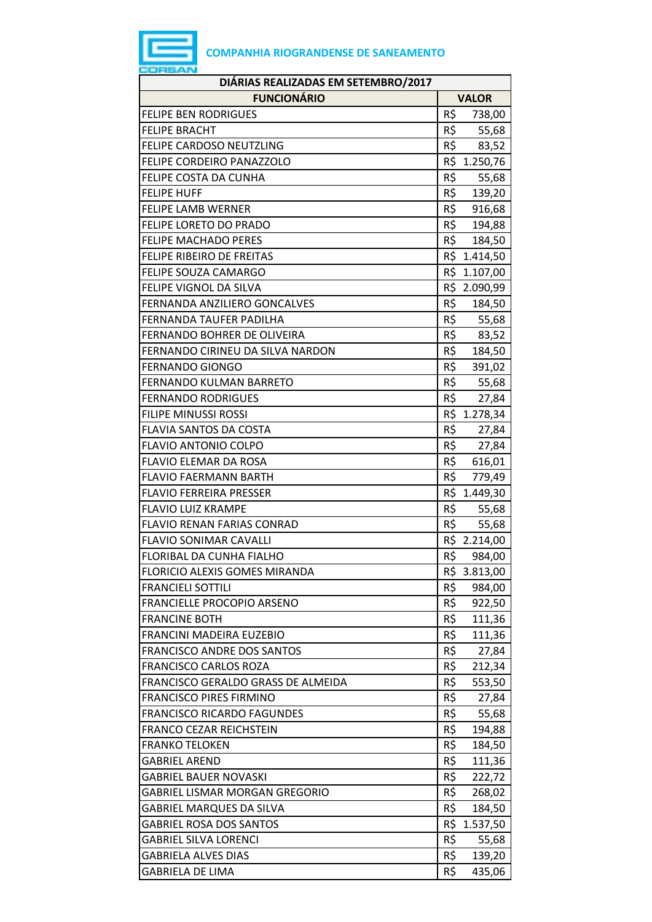| DIÁRIAS REALIZADAS EM SETEMBRO/2017   |     |              |  |  |
|---------------------------------------|-----|--------------|--|--|
| <b>FUNCIONÁRIO</b>                    |     | <b>VALOR</b> |  |  |
| <b>FELIPE BEN RODRIGUES</b>           | R\$ | 738,00       |  |  |
| <b>FELIPE BRACHT</b>                  | R\$ | 55,68        |  |  |
| FELIPE CARDOSO NEUTZLING              |     | R\$<br>83,52 |  |  |
| FELIPE CORDEIRO PANAZZOLO             |     | R\$ 1.250,76 |  |  |
| FELIPE COSTA DA CUNHA                 | R\$ | 55,68        |  |  |
| <b>FELIPE HUFF</b>                    | R\$ | 139,20       |  |  |
| <b>FELIPE LAMB WERNER</b>             | R\$ | 916,68       |  |  |
| FELIPE LORETO DO PRADO                | R\$ | 194,88       |  |  |
| <b>FELIPE MACHADO PERES</b>           |     | R\$ 184,50   |  |  |
| FELIPE RIBEIRO DE FREITAS             |     | R\$ 1.414,50 |  |  |
| <b>FELIPE SOUZA CAMARGO</b>           |     | R\$ 1.107,00 |  |  |
| FELIPE VIGNOL DA SILVA                |     | R\$ 2.090,99 |  |  |
| FERNANDA ANZILIERO GONCALVES          | R\$ | 184,50       |  |  |
| FERNANDA TAUFER PADILHA               | R\$ | 55,68        |  |  |
| FERNANDO BOHRER DE OLIVEIRA           | R\$ | 83,52        |  |  |
| FERNANDO CIRINEU DA SILVA NARDON      | R\$ | 184,50       |  |  |
| <b>FERNANDO GIONGO</b>                | R\$ | 391,02       |  |  |
| FERNANDO KULMAN BARRETO               |     | R\$ 55,68    |  |  |
| <b>FERNANDO RODRIGUES</b>             | R\$ | 27,84        |  |  |
| FILIPE MINUSSI ROSSI                  | R\$ | 1.278,34     |  |  |
| <b>FLAVIA SANTOS DA COSTA</b>         | R\$ | 27,84        |  |  |
| <b>FLAVIO ANTONIO COLPO</b>           | R\$ | 27,84        |  |  |
| <b>FLAVIO ELEMAR DA ROSA</b>          | R\$ | 616,01       |  |  |
| <b>FLAVIO FAERMANN BARTH</b>          | R\$ | 779,49       |  |  |
| <b>FLAVIO FERREIRA PRESSER</b>        | R\$ | 1.449,30     |  |  |
| <b>FLAVIO LUIZ KRAMPE</b>             | R\$ | 55,68        |  |  |
| <b>FLAVIO RENAN FARIAS CONRAD</b>     | R\$ | 55,68        |  |  |
| <b>FLAVIO SONIMAR CAVALLI</b>         |     | R\$ 2.214,00 |  |  |
| FLORIBAL DA CUNHA FIALHO              | R\$ | 984,00       |  |  |
| FLORICIO ALEXIS GOMES MIRANDA         |     | R\$ 3.813,00 |  |  |
| <b>FRANCIELI SOTTILI</b>              | R\$ | 984,00       |  |  |
| <b>FRANCIELLE PROCOPIO ARSENO</b>     | R\$ | 922,50       |  |  |
| <b>FRANCINE BOTH</b>                  | R\$ | 111,36       |  |  |
| FRANCINI MADEIRA EUZEBIO              | R\$ | 111,36       |  |  |
| <b>FRANCISCO ANDRE DOS SANTOS</b>     | R\$ | 27,84        |  |  |
| <b>FRANCISCO CARLOS ROZA</b>          | R\$ | 212,34       |  |  |
| FRANCISCO GERALDO GRASS DE ALMEIDA    | R\$ | 553,50       |  |  |
| <b>FRANCISCO PIRES FIRMINO</b>        | R\$ | 27,84        |  |  |
| <b>FRANCISCO RICARDO FAGUNDES</b>     | R\$ | 55,68        |  |  |
| <b>FRANCO CEZAR REICHSTEIN</b>        | R\$ | 194,88       |  |  |
| <b>FRANKO TELOKEN</b>                 | R\$ | 184,50       |  |  |
| <b>GABRIEL AREND</b>                  | R\$ | 111,36       |  |  |
| <b>GABRIEL BAUER NOVASKI</b>          | R\$ | 222,72       |  |  |
| <b>GABRIEL LISMAR MORGAN GREGORIO</b> | R\$ | 268,02       |  |  |
| <b>GABRIEL MARQUES DA SILVA</b>       | R\$ | 184,50       |  |  |
| <b>GABRIEL ROSA DOS SANTOS</b>        |     | R\$ 1.537,50 |  |  |
| <b>GABRIEL SILVA LORENCI</b>          | R\$ | 55,68        |  |  |
| <b>GABRIELA ALVES DIAS</b>            | R\$ | 139,20       |  |  |
| <b>GABRIELA DE LIMA</b>               | R\$ | 435,06       |  |  |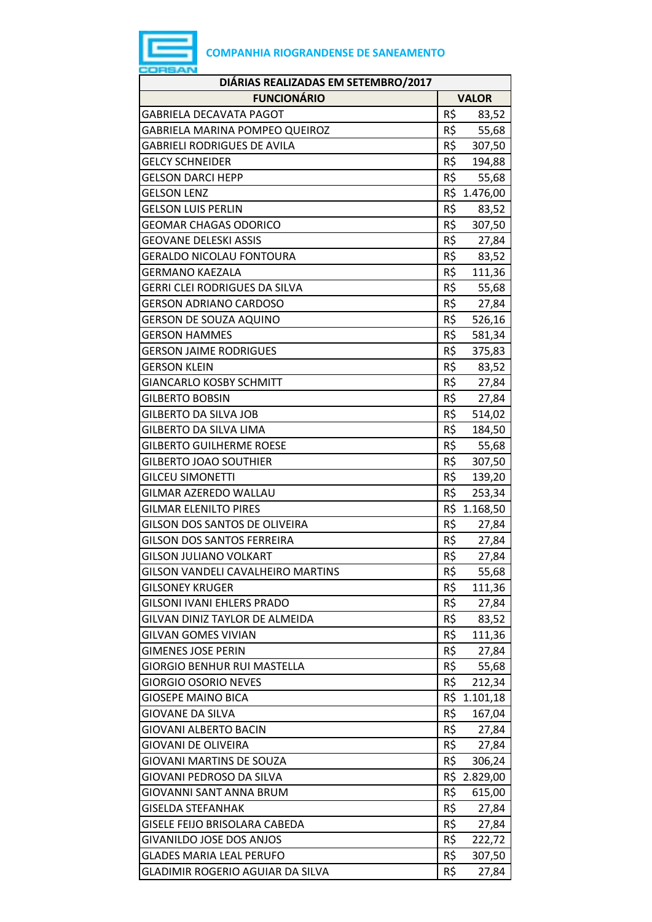

| DIÁRIAS REALIZADAS EM SETEMBRO/2017  |     |              |  |  |
|--------------------------------------|-----|--------------|--|--|
| <b>FUNCIONÁRIO</b>                   |     | <b>VALOR</b> |  |  |
| GABRIELA DECAVATA PAGOT              | R\$ | 83,52        |  |  |
| GABRIELA MARINA POMPEO QUEIROZ       | R\$ | 55,68        |  |  |
| <b>GABRIELI RODRIGUES DE AVILA</b>   | R\$ | 307,50       |  |  |
| <b>GELCY SCHNEIDER</b>               | R\$ | 194,88       |  |  |
| <b>GELSON DARCI HEPP</b>             | R\$ | 55,68        |  |  |
| <b>GELSON LENZ</b>                   |     | R\$ 1.476,00 |  |  |
| <b>GELSON LUIS PERLIN</b>            | R\$ | 83,52        |  |  |
| <b>GEOMAR CHAGAS ODORICO</b>         | R\$ | 307,50       |  |  |
| <b>GEOVANE DELESKI ASSIS</b>         | R\$ | 27,84        |  |  |
| <b>GERALDO NICOLAU FONTOURA</b>      | R\$ | 83,52        |  |  |
| GERMANO KAEZALA                      | R\$ | 111,36       |  |  |
| <b>GERRI CLEI RODRIGUES DA SILVA</b> | R\$ | 55,68        |  |  |
| <b>GERSON ADRIANO CARDOSO</b>        | R\$ | 27,84        |  |  |
| <b>GERSON DE SOUZA AQUINO</b>        | R\$ | 526,16       |  |  |
| <b>GERSON HAMMES</b>                 | R\$ | 581,34       |  |  |
| <b>GERSON JAIME RODRIGUES</b>        | R\$ | 375,83       |  |  |
| <b>GERSON KLEIN</b>                  | R\$ | 83,52        |  |  |
| <b>GIANCARLO KOSBY SCHMITT</b>       | R\$ | 27,84        |  |  |
| <b>GILBERTO BOBSIN</b>               | R\$ | 27,84        |  |  |
| <b>GILBERTO DA SILVA JOB</b>         | R\$ | 514,02       |  |  |
| <b>GILBERTO DA SILVA LIMA</b>        | R\$ | 184,50       |  |  |
| <b>GILBERTO GUILHERME ROESE</b>      | R\$ | 55,68        |  |  |
| <b>GILBERTO JOAO SOUTHIER</b>        | R\$ | 307,50       |  |  |
| <b>GILCEU SIMONETTI</b>              | R\$ | 139,20       |  |  |
| GILMAR AZEREDO WALLAU                | R\$ | 253,34       |  |  |
| <b>GILMAR ELENILTO PIRES</b>         |     | R\$ 1.168,50 |  |  |
| GILSON DOS SANTOS DE OLIVEIRA        | R\$ | 27,84        |  |  |
| <b>GILSON DOS SANTOS FERREIRA</b>    | R\$ | 27,84        |  |  |
| <b>GILSON JULIANO VOLKART</b>        | R\$ | 27,84        |  |  |
| GILSON VANDELI CAVALHEIRO MARTINS    | R\$ | 55,68        |  |  |
| <b>GILSONEY KRUGER</b>               | R\$ | 111,36       |  |  |
| <b>GILSONI IVANI EHLERS PRADO</b>    | R\$ | 27,84        |  |  |
| GILVAN DINIZ TAYLOR DE ALMEIDA       | R\$ | 83,52        |  |  |
| <b>GILVAN GOMES VIVIAN</b>           | R\$ | 111,36       |  |  |
| <b>GIMENES JOSE PERIN</b>            | R\$ | 27,84        |  |  |
| <b>GIORGIO BENHUR RUI MASTELLA</b>   | R\$ | 55,68        |  |  |
| <b>GIORGIO OSORIO NEVES</b>          | R\$ | 212,34       |  |  |
| <b>GIOSEPE MAINO BICA</b>            | R\$ | 1.101,18     |  |  |
| <b>GIOVANE DA SILVA</b>              | R\$ | 167,04       |  |  |
| GIOVANI ALBERTO BACIN                | R\$ | 27,84        |  |  |
| <b>GIOVANI DE OLIVEIRA</b>           | R\$ | 27,84        |  |  |
| <b>GIOVANI MARTINS DE SOUZA</b>      | R\$ | 306,24       |  |  |
| GIOVANI PEDROSO DA SILVA             | R\$ | 2.829,00     |  |  |
| GIOVANNI SANT ANNA BRUM              | R\$ | 615,00       |  |  |
| <b>GISELDA STEFANHAK</b>             | R\$ | 27,84        |  |  |
| GISELE FEIJO BRISOLARA CABEDA        | R\$ | 27,84        |  |  |
| <b>GIVANILDO JOSE DOS ANJOS</b>      | R\$ | 222,72       |  |  |
| GLADES MARIA LEAL PERUFO             | R\$ | 307,50       |  |  |
| GLADIMIR ROGERIO AGUIAR DA SILVA     | R\$ | 27,84        |  |  |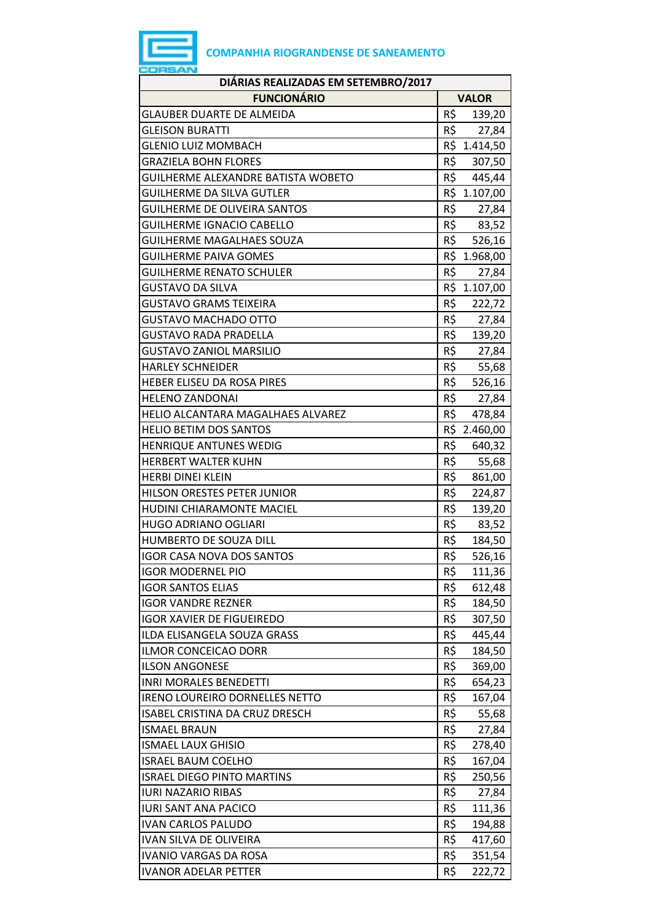

| DIÁRIAS REALIZADAS EM SETEMBRO/2017   |               |  |  |  |
|---------------------------------------|---------------|--|--|--|
| <b>FUNCIONÁRIO</b>                    | <b>VALOR</b>  |  |  |  |
| <b>GLAUBER DUARTE DE ALMEIDA</b>      | R\$<br>139,20 |  |  |  |
| <b>GLEISON BURATTI</b>                | R\$<br>27,84  |  |  |  |
| <b>GLENIO LUIZ MOMBACH</b>            | R\$ 1.414,50  |  |  |  |
| <b>GRAZIELA BOHN FLORES</b>           | R\$<br>307,50 |  |  |  |
| GUILHERME ALEXANDRE BATISTA WOBETO    | R\$<br>445,44 |  |  |  |
| <b>GUILHERME DA SILVA GUTLER</b>      | R\$ 1.107,00  |  |  |  |
| <b>GUILHERME DE OLIVEIRA SANTOS</b>   | R\$<br>27,84  |  |  |  |
| <b>GUILHERME IGNACIO CABELLO</b>      | R\$<br>83,52  |  |  |  |
| <b>GUILHERME MAGALHAES SOUZA</b>      | R\$<br>526,16 |  |  |  |
| <b>GUILHERME PAIVA GOMES</b>          | R\$ 1.968,00  |  |  |  |
| <b>GUILHERME RENATO SCHULER</b>       | R\$<br>27,84  |  |  |  |
| <b>GUSTAVO DA SILVA</b>               | R\$ 1.107,00  |  |  |  |
| GUSTAVO GRAMS TEIXEIRA                | R\$<br>222,72 |  |  |  |
| <b>GUSTAVO MACHADO OTTO</b>           | R\$<br>27,84  |  |  |  |
| GUSTAVO RADA PRADELLA                 | R\$<br>139,20 |  |  |  |
| <b>GUSTAVO ZANIOL MARSILIO</b>        | R\$<br>27,84  |  |  |  |
| <b>HARLEY SCHNEIDER</b>               | R\$<br>55,68  |  |  |  |
| HEBER ELISEU DA ROSA PIRES            | R\$<br>526,16 |  |  |  |
| <b>HELENO ZANDONAI</b>                | R\$<br>27,84  |  |  |  |
| HELIO ALCANTARA MAGALHAES ALVAREZ     | R\$<br>478,84 |  |  |  |
| <b>HELIO BETIM DOS SANTOS</b>         | R\$ 2.460,00  |  |  |  |
| <b>HENRIQUE ANTUNES WEDIG</b>         | R\$<br>640,32 |  |  |  |
| <b>HERBERT WALTER KUHN</b>            | R\$<br>55,68  |  |  |  |
| <b>HERBI DINEI KLEIN</b>              | R\$<br>861,00 |  |  |  |
| HILSON ORESTES PETER JUNIOR           | R\$<br>224,87 |  |  |  |
| <b>HUDINI CHIARAMONTE MACIEL</b>      | R\$<br>139,20 |  |  |  |
| <b>HUGO ADRIANO OGLIARI</b>           | R\$<br>83,52  |  |  |  |
| <b>HUMBERTO DE SOUZA DILL</b>         | R\$<br>184,50 |  |  |  |
| <b>IGOR CASA NOVA DOS SANTOS</b>      | R\$<br>526,16 |  |  |  |
| <b>IGOR MODERNEL PIO</b>              | R\$<br>111,36 |  |  |  |
| <b>IGOR SANTOS ELIAS</b>              | R\$<br>612,48 |  |  |  |
| <b>IGOR VANDRE REZNER</b>             | R\$<br>184,50 |  |  |  |
| <b>IGOR XAVIER DE FIGUEIREDO</b>      | R\$<br>307,50 |  |  |  |
| ILDA ELISANGELA SOUZA GRASS           | R\$<br>445,44 |  |  |  |
| ILMOR CONCEICAO DORR                  | R\$<br>184,50 |  |  |  |
| <b>ILSON ANGONESE</b>                 | R\$<br>369,00 |  |  |  |
| <b>INRI MORALES BENEDETTI</b>         | R\$<br>654,23 |  |  |  |
| <b>IRENO LOUREIRO DORNELLES NETTO</b> | R\$<br>167,04 |  |  |  |
| ISABEL CRISTINA DA CRUZ DRESCH        | R\$<br>55,68  |  |  |  |
| <b>ISMAEL BRAUN</b>                   | R\$<br>27,84  |  |  |  |
| <b>ISMAEL LAUX GHISIO</b>             | R\$<br>278,40 |  |  |  |
| <b>ISRAEL BAUM COELHO</b>             | R\$<br>167,04 |  |  |  |
| <b>ISRAEL DIEGO PINTO MARTINS</b>     | R\$<br>250,56 |  |  |  |
| <b>IURI NAZARIO RIBAS</b>             | R\$<br>27,84  |  |  |  |
| <b>IURI SANT ANA PACICO</b>           | R\$<br>111,36 |  |  |  |
| <b>IVAN CARLOS PALUDO</b>             | R\$<br>194,88 |  |  |  |
| <b>IVAN SILVA DE OLIVEIRA</b>         | R\$<br>417,60 |  |  |  |
| <b>IVANIO VARGAS DA ROSA</b>          | R\$<br>351,54 |  |  |  |
| <b>IVANOR ADELAR PETTER</b>           | R\$<br>222,72 |  |  |  |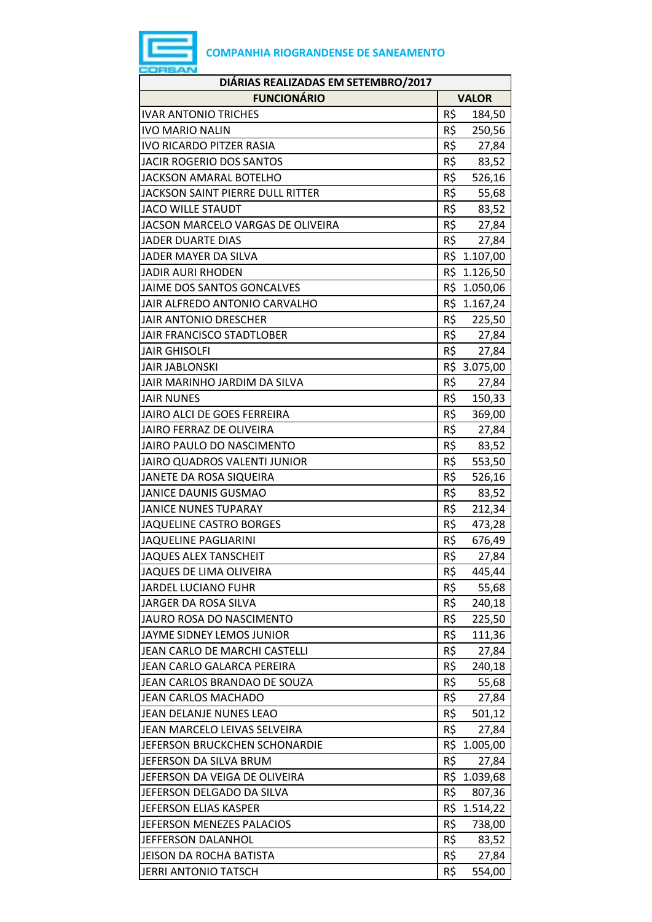| DIÁRIAS REALIZADAS EM SETEMBRO/2017 |     |              |  |  |
|-------------------------------------|-----|--------------|--|--|
| <b>FUNCIONÁRIO</b>                  |     | <b>VALOR</b> |  |  |
| <b>IVAR ANTONIO TRICHES</b>         | R\$ | 184,50       |  |  |
| <b>IVO MARIO NALIN</b>              | R\$ | 250,56       |  |  |
| <b>IVO RICARDO PITZER RASIA</b>     | R\$ | 27,84        |  |  |
| JACIR ROGERIO DOS SANTOS            | R\$ | 83,52        |  |  |
| <b>JACKSON AMARAL BOTELHO</b>       | R\$ | 526,16       |  |  |
| JACKSON SAINT PIERRE DULL RITTER    | R\$ | 55,68        |  |  |
| <b>JACO WILLE STAUDT</b>            | R\$ | 83,52        |  |  |
| JACSON MARCELO VARGAS DE OLIVEIRA   | R\$ | 27,84        |  |  |
| JADER DUARTE DIAS                   | R\$ | 27,84        |  |  |
| JADER MAYER DA SILVA                |     | R\$ 1.107,00 |  |  |
| <b>JADIR AURI RHODEN</b>            |     | R\$ 1.126,50 |  |  |
| JAIME DOS SANTOS GONCALVES          |     | R\$ 1.050,06 |  |  |
| JAIR ALFREDO ANTONIO CARVALHO       |     | R\$ 1.167,24 |  |  |
| JAIR ANTONIO DRESCHER               |     | R\$ 225,50   |  |  |
| JAIR FRANCISCO STADTLOBER           |     | R\$ 27,84    |  |  |
| <b>JAIR GHISOLFI</b>                | R\$ | 27,84        |  |  |
| <b>JAIR JABLONSKI</b>               |     | R\$ 3.075,00 |  |  |
| JAIR MARINHO JARDIM DA SILVA        | R\$ | 27,84        |  |  |
| <b>JAIR NUNES</b>                   | R\$ | 150,33       |  |  |
| JAIRO ALCI DE GOES FERREIRA         | R\$ | 369,00       |  |  |
| <b>JAIRO FERRAZ DE OLIVEIRA</b>     | R\$ | 27,84        |  |  |
| JAIRO PAULO DO NASCIMENTO           | R\$ | 83,52        |  |  |
| JAIRO QUADROS VALENTI JUNIOR        | R\$ | 553,50       |  |  |
| JANETE DA ROSA SIQUEIRA             | R\$ | 526,16       |  |  |
| <b>JANICE DAUNIS GUSMAO</b>         | R\$ | 83,52        |  |  |
| <b>JANICE NUNES TUPARAY</b>         | R\$ | 212,34       |  |  |
| JAQUELINE CASTRO BORGES             | R\$ | 473,28       |  |  |
| <b>JAQUELINE PAGLIARINI</b>         | R\$ | 676,49       |  |  |
| <b>JAQUES ALEX TANSCHEIT</b>        | R\$ | 27,84        |  |  |
| JAQUES DE LIMA OLIVEIRA             | R\$ | 445,44       |  |  |
| JARDEL LUCIANO FUHR                 | R\$ | 55,68        |  |  |
| JARGER DA ROSA SILVA                | R\$ | 240,18       |  |  |
| JAURO ROSA DO NASCIMENTO            | R\$ | 225,50       |  |  |
| JAYME SIDNEY LEMOS JUNIOR           | R\$ | 111,36       |  |  |
| JEAN CARLO DE MARCHI CASTELLI       | R\$ | 27,84        |  |  |
| JEAN CARLO GALARCA PEREIRA          | R\$ | 240,18       |  |  |
| JEAN CARLOS BRANDAO DE SOUZA        | R\$ | 55,68        |  |  |
| JEAN CARLOS MACHADO                 | R\$ | 27,84        |  |  |
| JEAN DELANJE NUNES LEAO             | R\$ | 501,12       |  |  |
| JEAN MARCELO LEIVAS SELVEIRA        | R\$ | 27,84        |  |  |
| JEFERSON BRUCKCHEN SCHONARDIE       |     | R\$ 1.005,00 |  |  |
| JEFERSON DA SILVA BRUM              | R\$ | 27,84        |  |  |
| JEFERSON DA VEIGA DE OLIVEIRA       |     | R\$ 1.039,68 |  |  |
| JEFERSON DELGADO DA SILVA           | R\$ | 807,36       |  |  |
| JEFERSON ELIAS KASPER               |     | R\$ 1.514,22 |  |  |
| JEFERSON MENEZES PALACIOS           | R\$ | 738,00       |  |  |
| JEFFERSON DALANHOL                  | R\$ | 83,52        |  |  |
| JEISON DA ROCHA BATISTA             | R\$ | 27,84        |  |  |
| JERRI ANTONIO TATSCH                | R\$ | 554,00       |  |  |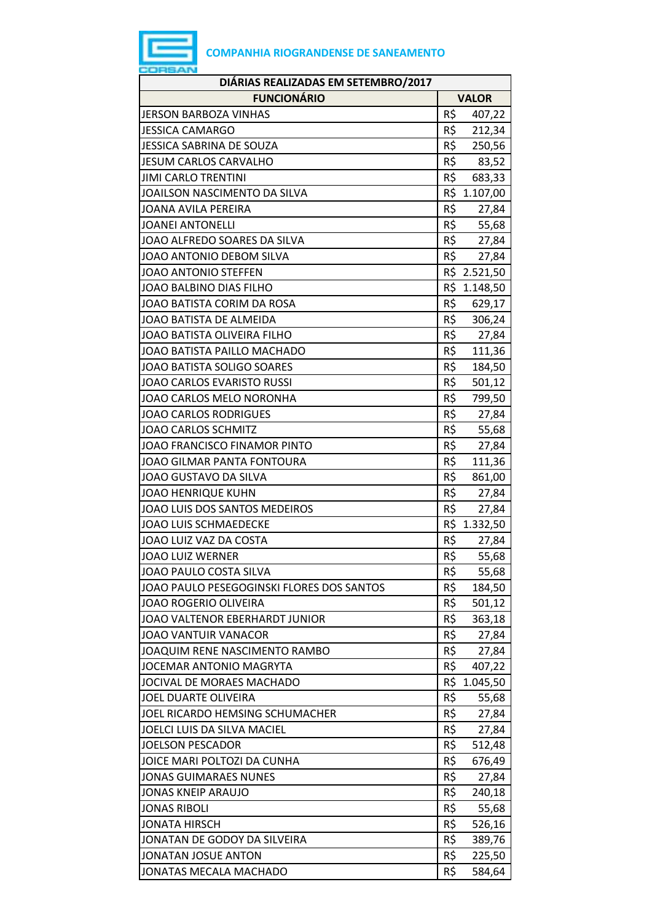| DIÁRIAS REALIZADAS EM SETEMBRO/2017       |     |              |  |  |
|-------------------------------------------|-----|--------------|--|--|
| <b>FUNCIONÁRIO</b>                        |     | <b>VALOR</b> |  |  |
| <b>JERSON BARBOZA VINHAS</b>              | R\$ | 407,22       |  |  |
| <b>JESSICA CAMARGO</b>                    | R\$ | 212,34       |  |  |
| JESSICA SABRINA DE SOUZA                  | R\$ | 250,56       |  |  |
| <b>JESUM CARLOS CARVALHO</b>              | R\$ | 83,52        |  |  |
| <b>JIMI CARLO TRENTINI</b>                | R\$ | 683,33       |  |  |
| JOAILSON NASCIMENTO DA SILVA              |     | R\$ 1.107,00 |  |  |
| <b>JOANA AVILA PEREIRA</b>                | R\$ | 27,84        |  |  |
| <b>JOANEI ANTONELLI</b>                   | R\$ | 55,68        |  |  |
| JOAO ALFREDO SOARES DA SILVA              | R\$ | 27,84        |  |  |
| JOAO ANTONIO DEBOM SILVA                  | R\$ | 27,84        |  |  |
| JOAO ANTONIO STEFFEN                      |     | R\$ 2.521,50 |  |  |
| JOAO BALBINO DIAS FILHO                   | R\$ | 1.148,50     |  |  |
| JOAO BATISTA CORIM DA ROSA                | R\$ | 629,17       |  |  |
| JOAO BATISTA DE ALMEIDA                   | R\$ | 306,24       |  |  |
| JOAO BATISTA OLIVEIRA FILHO               | R\$ | 27,84        |  |  |
| JOAO BATISTA PAILLO MACHADO               | R\$ | 111,36       |  |  |
| <b>JOAO BATISTA SOLIGO SOARES</b>         | R\$ | 184,50       |  |  |
| JOAO CARLOS EVARISTO RUSSI                | R\$ | 501,12       |  |  |
| JOAO CARLOS MELO NORONHA                  | R\$ | 799,50       |  |  |
| <b>JOAO CARLOS RODRIGUES</b>              | R\$ | 27,84        |  |  |
| <b>JOAO CARLOS SCHMITZ</b>                | R\$ | 55,68        |  |  |
| JOAO FRANCISCO FINAMOR PINTO              | R\$ | 27,84        |  |  |
| JOAO GILMAR PANTA FONTOURA                | R\$ | 111,36       |  |  |
| JOAO GUSTAVO DA SILVA                     | R\$ | 861,00       |  |  |
| <b>JOAO HENRIQUE KUHN</b>                 | R\$ | 27,84        |  |  |
| JOAO LUIS DOS SANTOS MEDEIROS             | R\$ | 27,84        |  |  |
| JOAO LUIS SCHMAEDECKE                     |     | R\$ 1.332,50 |  |  |
| JOAO LUIZ VAZ DA COSTA                    | R\$ | 27,84        |  |  |
| <b>JOAO LUIZ WERNER</b>                   | R\$ | 55,68        |  |  |
| JOAO PAULO COSTA SILVA                    | R\$ | 55,68        |  |  |
| JOAO PAULO PESEGOGINSKI FLORES DOS SANTOS | R\$ | 184,50       |  |  |
| JOAO ROGERIO OLIVEIRA                     | R\$ | 501,12       |  |  |
| JOAO VALTENOR EBERHARDT JUNIOR            | R\$ | 363,18       |  |  |
| <b>JOAO VANTUIR VANACOR</b>               | R\$ | 27,84        |  |  |
| JOAQUIM RENE NASCIMENTO RAMBO             | R\$ | 27,84        |  |  |
| JOCEMAR ANTONIO MAGRYTA                   | R\$ | 407,22       |  |  |
| JOCIVAL DE MORAES MACHADO                 | R\$ | 1.045,50     |  |  |
| <b>JOEL DUARTE OLIVEIRA</b>               | R\$ | 55,68        |  |  |
| JOEL RICARDO HEMSING SCHUMACHER           | R\$ | 27,84        |  |  |
| JOELCI LUIS DA SILVA MACIEL               | R\$ | 27,84        |  |  |
| <b>JOELSON PESCADOR</b>                   | R\$ | 512,48       |  |  |
| JOICE MARI POLTOZI DA CUNHA               | R\$ | 676,49       |  |  |
| <b>JONAS GUIMARAES NUNES</b>              | R\$ | 27,84        |  |  |
| <b>JONAS KNEIP ARAUJO</b>                 | R\$ | 240,18       |  |  |
| <b>JONAS RIBOLI</b>                       | R\$ | 55,68        |  |  |
| <b>JONATA HIRSCH</b>                      | R\$ | 526,16       |  |  |
| JONATAN DE GODOY DA SILVEIRA              | R\$ | 389,76       |  |  |
| JONATAN JOSUE ANTON                       | R\$ | 225,50       |  |  |
| JONATAS MECALA MACHADO                    | R\$ | 584,64       |  |  |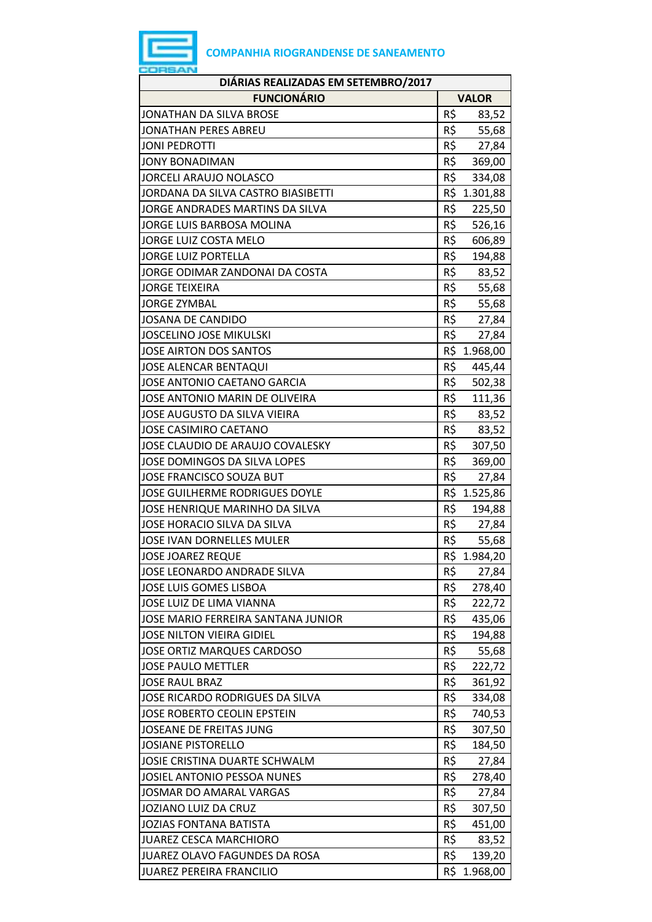

| DIÁRIAS REALIZADAS EM SETEMBRO/2017 |     |              |  |  |
|-------------------------------------|-----|--------------|--|--|
| <b>FUNCIONÁRIO</b>                  |     | <b>VALOR</b> |  |  |
| JONATHAN DA SILVA BROSE             | R\$ | 83,52        |  |  |
| JONATHAN PERES ABREU                | R\$ | 55,68        |  |  |
| <b>JONI PEDROTTI</b>                | R\$ | 27,84        |  |  |
| <b>JONY BONADIMAN</b>               | R\$ | 369,00       |  |  |
| <b>JORCELI ARAUJO NOLASCO</b>       | R\$ | 334,08       |  |  |
| JORDANA DA SILVA CASTRO BIASIBETTI  |     | R\$ 1.301,88 |  |  |
| JORGE ANDRADES MARTINS DA SILVA     | R\$ | 225,50       |  |  |
| JORGE LUIS BARBOSA MOLINA           | R\$ | 526,16       |  |  |
| JORGE LUIZ COSTA MELO               | R\$ | 606,89       |  |  |
| <b>JORGE LUIZ PORTELLA</b>          | R\$ | 194,88       |  |  |
| JORGE ODIMAR ZANDONAI DA COSTA      | R\$ | 83,52        |  |  |
| <b>JORGE TEIXEIRA</b>               | R\$ | 55,68        |  |  |
| <b>JORGE ZYMBAL</b>                 | R\$ | 55,68        |  |  |
| JOSANA DE CANDIDO                   | R\$ | 27,84        |  |  |
| <b>JOSCELINO JOSE MIKULSKI</b>      | R\$ | 27,84        |  |  |
| JOSE AIRTON DOS SANTOS              |     | R\$ 1.968,00 |  |  |
| <b>JOSE ALENCAR BENTAQUI</b>        | R\$ | 445,44       |  |  |
| JOSE ANTONIO CAETANO GARCIA         | R\$ | 502,38       |  |  |
| JOSE ANTONIO MARIN DE OLIVEIRA      | R\$ | 111,36       |  |  |
| JOSE AUGUSTO DA SILVA VIEIRA        | R\$ | 83,52        |  |  |
| JOSE CASIMIRO CAETANO               | R\$ | 83,52        |  |  |
| JOSE CLAUDIO DE ARAUJO COVALESKY    | R\$ | 307,50       |  |  |
| <b>JOSE DOMINGOS DA SILVA LOPES</b> | R\$ | 369,00       |  |  |
| JOSE FRANCISCO SOUZA BUT            | R\$ | 27,84        |  |  |
| JOSE GUILHERME RODRIGUES DOYLE      |     | R\$ 1.525,86 |  |  |
| JOSE HENRIQUE MARINHO DA SILVA      | R\$ | 194,88       |  |  |
| JOSE HORACIO SILVA DA SILVA         | R\$ | 27,84        |  |  |
| JOSE IVAN DORNELLES MULER           | R\$ | 55,68        |  |  |
| <b>JOSE JOAREZ REQUE</b>            | R\$ | 1.984,20     |  |  |
| JOSE LEONARDO ANDRADE SILVA         | R\$ | 27,84        |  |  |
| JOSE LUIS GOMES LISBOA              | R\$ | 278,40       |  |  |
| JOSE LUIZ DE LIMA VIANNA            | R\$ | 222,72       |  |  |
| JOSE MARIO FERREIRA SANTANA JUNIOR  | R\$ | 435,06       |  |  |
| JOSE NILTON VIEIRA GIDIEL           | R\$ | 194,88       |  |  |
| JOSE ORTIZ MARQUES CARDOSO          | R\$ | 55,68        |  |  |
| <b>JOSE PAULO METTLER</b>           | R\$ | 222,72       |  |  |
| <b>JOSE RAUL BRAZ</b>               | R\$ | 361,92       |  |  |
| JOSE RICARDO RODRIGUES DA SILVA     | R\$ | 334,08       |  |  |
| JOSE ROBERTO CEOLIN EPSTEIN         | R\$ | 740,53       |  |  |
| JOSEANE DE FREITAS JUNG             | R\$ | 307,50       |  |  |
| JOSIANE PISTORELLO                  | R\$ | 184,50       |  |  |
| JOSIE CRISTINA DUARTE SCHWALM       | R\$ | 27,84        |  |  |
| JOSIEL ANTONIO PESSOA NUNES         | R\$ | 278,40       |  |  |
| JOSMAR DO AMARAL VARGAS             | R\$ | 27,84        |  |  |
| JOZIANO LUIZ DA CRUZ                | R\$ | 307,50       |  |  |
| <b>JOZIAS FONTANA BATISTA</b>       | R\$ | 451,00       |  |  |
| JUAREZ CESCA MARCHIORO              | R\$ | 83,52        |  |  |
| JUAREZ OLAVO FAGUNDES DA ROSA       | R\$ | 139,20       |  |  |
| JUAREZ PEREIRA FRANCILIO            | R\$ | 1.968,00     |  |  |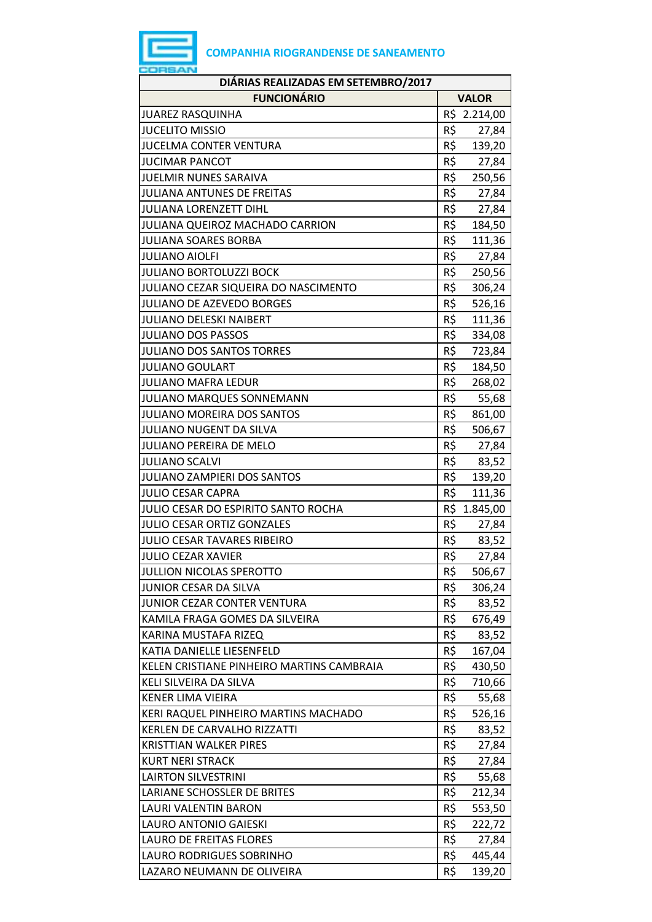| DIÁRIAS REALIZADAS EM SETEMBRO/2017       |                 |              |  |  |
|-------------------------------------------|-----------------|--------------|--|--|
| <b>FUNCIONÁRIO</b>                        |                 | <b>VALOR</b> |  |  |
| <b>JUAREZ RASQUINHA</b>                   |                 | R\$ 2.214,00 |  |  |
| <b>JUCELITO MISSIO</b>                    | R\$             | 27,84        |  |  |
| <b>JUCELMA CONTER VENTURA</b>             | R\$             | 139,20       |  |  |
| <b>JUCIMAR PANCOT</b>                     | R\$             | 27,84        |  |  |
| <b>JUELMIR NUNES SARAIVA</b>              | R\$             | 250,56       |  |  |
| JULIANA ANTUNES DE FREITAS                | R\$             | 27,84        |  |  |
| JULIANA LORENZETT DIHL                    | R\$             | 27,84        |  |  |
| JULIANA QUEIROZ MACHADO CARRION           | R\$             | 184,50       |  |  |
| <b>JULIANA SOARES BORBA</b>               | R\$             | 111,36       |  |  |
| <b>JULIANO AIOLFI</b>                     | R\$             | 27,84        |  |  |
| JULIANO BORTOLUZZI BOCK                   | R\$             | 250,56       |  |  |
| JULIANO CEZAR SIQUEIRA DO NASCIMENTO      | R\$             | 306,24       |  |  |
| <b>JULIANO DE AZEVEDO BORGES</b>          | R\$             | 526,16       |  |  |
| JULIANO DELESKI NAIBERT                   | R\$             | 111,36       |  |  |
| <b>JULIANO DOS PASSOS</b>                 | R\$             | 334,08       |  |  |
| JULIANO DOS SANTOS TORRES                 | R\$             | 723,84       |  |  |
| <b>JULIANO GOULART</b>                    | R\$             | 184,50       |  |  |
| <b>JULIANO MAFRA LEDUR</b>                | R\$             | 268,02       |  |  |
| JULIANO MARQUES SONNEMANN                 | R\$             | 55,68        |  |  |
| <b>JULIANO MOREIRA DOS SANTOS</b>         | R\$             | 861,00       |  |  |
| JULIANO NUGENT DA SILVA                   | R\$             | 506,67       |  |  |
| <b>JULIANO PEREIRA DE MELO</b>            | R\$             | 27,84        |  |  |
| <b>JULIANO SCALVI</b>                     | R\$             | 83,52        |  |  |
| JULIANO ZAMPIERI DOS SANTOS               | R\$             | 139,20       |  |  |
| <b>JULIO CESAR CAPRA</b>                  | R\$             | 111,36       |  |  |
| JULIO CESAR DO ESPIRITO SANTO ROCHA       |                 | R\$ 1.845,00 |  |  |
| JULIO CESAR ORTIZ GONZALES                | R\$             | 27,84        |  |  |
| JULIO CESAR TAVARES RIBEIRO               | R\$             | 83,52        |  |  |
| <b>JULIO CEZAR XAVIER</b>                 | $R\overline{S}$ | 27,84        |  |  |
| JULLION NICOLAS SPEROTTO                  | R\$             | 506,67       |  |  |
| JUNIOR CESAR DA SILVA                     | R\$             | 306,24       |  |  |
| JUNIOR CEZAR CONTER VENTURA               | R\$             | 83,52        |  |  |
| KAMILA FRAGA GOMES DA SILVEIRA            | R\$             | 676,49       |  |  |
| KARINA MUSTAFA RIZEQ                      | R\$             | 83,52        |  |  |
| KATIA DANIELLE LIESENFELD                 | R\$             | 167,04       |  |  |
| KELEN CRISTIANE PINHEIRO MARTINS CAMBRAIA | R\$             | 430,50       |  |  |
| KELI SILVEIRA DA SILVA                    | R\$             | 710,66       |  |  |
| <b>KENER LIMA VIEIRA</b>                  | R\$             | 55,68        |  |  |
| KERI RAQUEL PINHEIRO MARTINS MACHADO      | R\$             | 526,16       |  |  |
| KERLEN DE CARVALHO RIZZATTI               | R\$             | 83,52        |  |  |
| <b>KRISTTIAN WALKER PIRES</b>             | R\$             | 27,84        |  |  |
| <b>KURT NERI STRACK</b>                   | R\$             | 27,84        |  |  |
| <b>LAIRTON SILVESTRINI</b>                | R\$             | 55,68        |  |  |
| LARIANE SCHOSSLER DE BRITES               | R\$             | 212,34       |  |  |
| LAURI VALENTIN BARON                      | R\$             | 553,50       |  |  |
| LAURO ANTONIO GAIESKI                     | R\$             | 222,72       |  |  |
| <b>LAURO DE FREITAS FLORES</b>            | R\$             | 27,84        |  |  |
| LAURO RODRIGUES SOBRINHO                  | R\$             | 445,44       |  |  |
| LAZARO NEUMANN DE OLIVEIRA                | R\$             | 139,20       |  |  |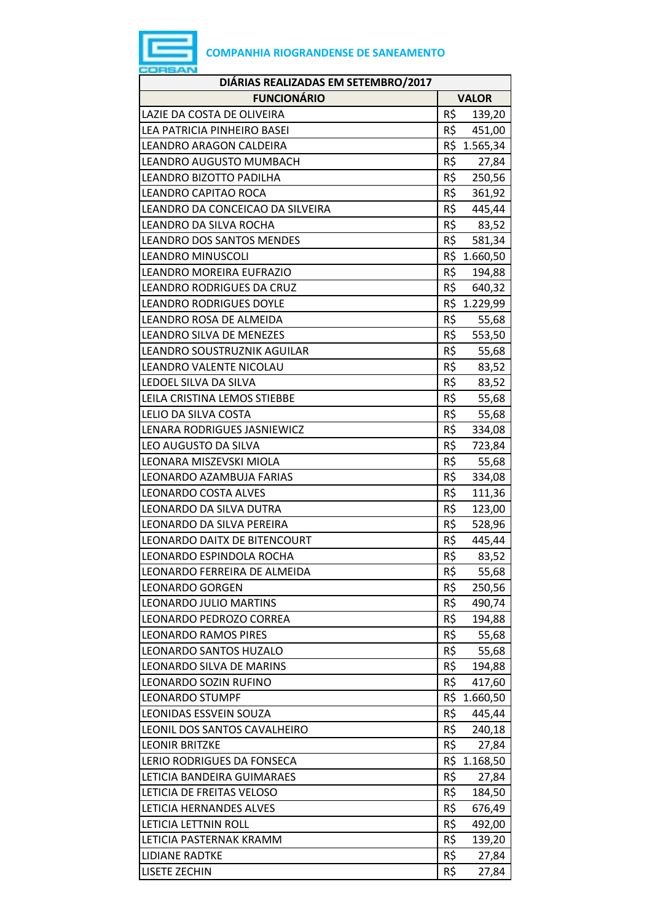

| DIÁRIAS REALIZADAS EM SETEMBRO/2017 |     |              |  |  |
|-------------------------------------|-----|--------------|--|--|
| <b>FUNCIONÁRIO</b>                  |     | <b>VALOR</b> |  |  |
| LAZIE DA COSTA DE OLIVEIRA          | R\$ | 139,20       |  |  |
| LEA PATRICIA PINHEIRO BASEI         | R\$ | 451,00       |  |  |
| <b>LEANDRO ARAGON CALDEIRA</b>      |     | R\$ 1.565,34 |  |  |
| LEANDRO AUGUSTO MUMBACH             | R\$ | 27,84        |  |  |
| LEANDRO BIZOTTO PADILHA             | R\$ | 250,56       |  |  |
| LEANDRO CAPITAO ROCA                | R\$ | 361,92       |  |  |
| LEANDRO DA CONCEICAO DA SILVEIRA    | R\$ | 445,44       |  |  |
| LEANDRO DA SILVA ROCHA              | R\$ | 83,52        |  |  |
| <b>LEANDRO DOS SANTOS MENDES</b>    | R\$ | 581,34       |  |  |
| <b>LEANDRO MINUSCOLI</b>            |     | R\$ 1.660,50 |  |  |
| LEANDRO MOREIRA EUFRAZIO            | R\$ | 194,88       |  |  |
| LEANDRO RODRIGUES DA CRUZ           | R\$ | 640,32       |  |  |
| <b>LEANDRO RODRIGUES DOYLE</b>      |     | R\$ 1.229,99 |  |  |
| LEANDRO ROSA DE ALMEIDA             | R\$ | 55,68        |  |  |
| LEANDRO SILVA DE MENEZES            | R\$ | 553,50       |  |  |
| LEANDRO SOUSTRUZNIK AGUILAR         | R\$ | 55,68        |  |  |
| LEANDRO VALENTE NICOLAU             | R\$ | 83,52        |  |  |
| LEDOEL SILVA DA SILVA               | R\$ | 83,52        |  |  |
| LEILA CRISTINA LEMOS STIEBBE        | R\$ | 55,68        |  |  |
| LELIO DA SILVA COSTA                | R\$ | 55,68        |  |  |
| LENARA RODRIGUES JASNIEWICZ         | R\$ | 334,08       |  |  |
| LEO AUGUSTO DA SILVA                | R\$ | 723,84       |  |  |
| LEONARA MISZEVSKI MIOLA             | R\$ | 55,68        |  |  |
| LEONARDO AZAMBUJA FARIAS            | R\$ | 334,08       |  |  |
| <b>LEONARDO COSTA ALVES</b>         | R\$ | 111,36       |  |  |
| LEONARDO DA SILVA DUTRA             | R\$ | 123,00       |  |  |
| LEONARDO DA SILVA PEREIRA           | R\$ | 528,96       |  |  |
| LEONARDO DAITX DE BITENCOURT        | R\$ | 445,44       |  |  |
| LEONARDO ESPINDOLA ROCHA            | R\$ | 83,52        |  |  |
| LEONARDO FERREIRA DE ALMEIDA        | R\$ | 55,68        |  |  |
| <b>LEONARDO GORGEN</b>              | R\$ | 250,56       |  |  |
| LEONARDO JULIO MARTINS              | R\$ | 490,74       |  |  |
| LEONARDO PEDROZO CORREA             | R\$ | 194,88       |  |  |
| <b>LEONARDO RAMOS PIRES</b>         | R\$ | 55,68        |  |  |
| LEONARDO SANTOS HUZALO              | R\$ | 55,68        |  |  |
| LEONARDO SILVA DE MARINS            | R\$ | 194,88       |  |  |
| LEONARDO SOZIN RUFINO               | R\$ | 417,60       |  |  |
| <b>LEONARDO STUMPF</b>              | R\$ | 1.660,50     |  |  |
| LEONIDAS ESSVEIN SOUZA              | R\$ | 445,44       |  |  |
| LEONIL DOS SANTOS CAVALHEIRO        | R\$ | 240,18       |  |  |
| <b>LEONIR BRITZKE</b>               | R\$ | 27,84        |  |  |
| LERIO RODRIGUES DA FONSECA          | R\$ | 1.168,50     |  |  |
| LETICIA BANDEIRA GUIMARAES          | R\$ | 27,84        |  |  |
| LETICIA DE FREITAS VELOSO           | R\$ | 184,50       |  |  |
| LETICIA HERNANDES ALVES             | R\$ | 676,49       |  |  |
| LETICIA LETTNIN ROLL                | R\$ | 492,00       |  |  |
| LETICIA PASTERNAK KRAMM             | R\$ | 139,20       |  |  |
| <b>LIDIANE RADTKE</b>               | R\$ | 27,84        |  |  |
| <b>LISETE ZECHIN</b>                | R\$ | 27,84        |  |  |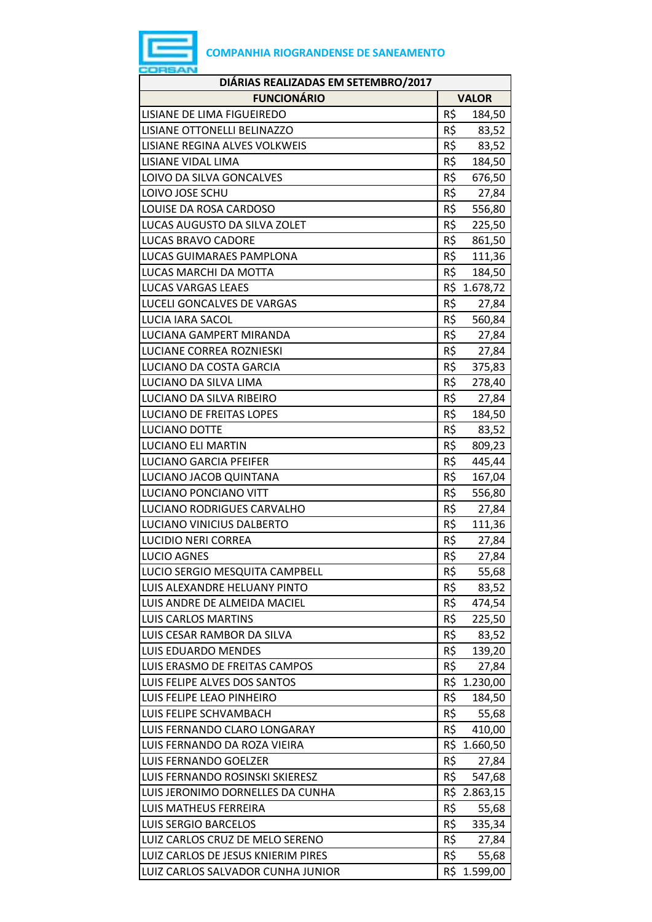

| DIÁRIAS REALIZADAS EM SETEMBRO/2017 |     |              |  |
|-------------------------------------|-----|--------------|--|
| <b>FUNCIONÁRIO</b><br><b>VALOR</b>  |     |              |  |
| LISIANE DE LIMA FIGUEIREDO          | R\$ | 184,50       |  |
| LISIANE OTTONELLI BELINAZZO         | R\$ | 83,52        |  |
| LISIANE REGINA ALVES VOLKWEIS       | R\$ | 83,52        |  |
| LISIANE VIDAL LIMA                  | R\$ | 184,50       |  |
| LOIVO DA SILVA GONCALVES            | R\$ | 676,50       |  |
| LOIVO JOSE SCHU                     | R\$ | 27,84        |  |
| LOUISE DA ROSA CARDOSO              | R\$ | 556,80       |  |
| LUCAS AUGUSTO DA SILVA ZOLET        | R\$ | 225,50       |  |
| <b>LUCAS BRAVO CADORE</b>           | R\$ | 861,50       |  |
| LUCAS GUIMARAES PAMPLONA            | R\$ | 111,36       |  |
| LUCAS MARCHI DA MOTTA               | R\$ | 184,50       |  |
| <b>LUCAS VARGAS LEAES</b>           | R\$ | 1.678,72     |  |
| LUCELI GONCALVES DE VARGAS          | R\$ | 27,84        |  |
| <b>LUCIA IARA SACOL</b>             | R\$ | 560,84       |  |
| LUCIANA GAMPERT MIRANDA             | R\$ | 27,84        |  |
| LUCIANE CORREA ROZNIESKI            | R\$ | 27,84        |  |
| LUCIANO DA COSTA GARCIA             | R\$ | 375,83       |  |
| LUCIANO DA SILVA LIMA               | R\$ | 278,40       |  |
| LUCIANO DA SILVA RIBEIRO            | R\$ | 27,84        |  |
| LUCIANO DE FREITAS LOPES            | R\$ | 184,50       |  |
| <b>LUCIANO DOTTE</b>                | R\$ | 83,52        |  |
| <b>LUCIANO ELI MARTIN</b>           | R\$ | 809,23       |  |
| <b>LUCIANO GARCIA PFEIFER</b>       | R\$ | 445,44       |  |
| LUCIANO JACOB QUINTANA              | R\$ | 167,04       |  |
| LUCIANO PONCIANO VITT               | R\$ | 556,80       |  |
| LUCIANO RODRIGUES CARVALHO          | R\$ | 27,84        |  |
| LUCIANO VINICIUS DALBERTO           | R\$ | 111,36       |  |
| <b>LUCIDIO NERI CORREA</b>          | R\$ | 27,84        |  |
| <b>LUCIO AGNES</b>                  | R\$ | 27,84        |  |
| LUCIO SERGIO MESQUITA CAMPBELL      | R\$ | 55,68        |  |
| LUIS ALEXANDRE HELUANY PINTO        | R\$ | 83,52        |  |
| LUIS ANDRE DE ALMEIDA MACIEL        | R\$ | 474,54       |  |
| <b>LUIS CARLOS MARTINS</b>          | R\$ | 225,50       |  |
| LUIS CESAR RAMBOR DA SILVA          | R\$ | 83,52        |  |
| LUIS EDUARDO MENDES                 | R\$ | 139,20       |  |
| LUIS ERASMO DE FREITAS CAMPOS       | R\$ | 27,84        |  |
| LUIS FELIPE ALVES DOS SANTOS        | R\$ | 1.230,00     |  |
| LUIS FELIPE LEAO PINHEIRO           | R\$ | 184,50       |  |
| LUIS FELIPE SCHVAMBACH              | R\$ | 55,68        |  |
| LUIS FERNANDO CLARO LONGARAY        | R\$ | 410,00       |  |
| LUIS FERNANDO DA ROZA VIEIRA        |     | R\$ 1.660,50 |  |
| LUIS FERNANDO GOELZER               | R\$ | 27,84        |  |
| LUIS FERNANDO ROSINSKI SKIERESZ     | R\$ | 547,68       |  |
| LUIS JERONIMO DORNELLES DA CUNHA    |     | R\$ 2.863,15 |  |
| LUIS MATHEUS FERREIRA               | R\$ | 55,68        |  |
| <b>LUIS SERGIO BARCELOS</b>         | R\$ | 335,34       |  |
| LUIZ CARLOS CRUZ DE MELO SERENO     | R\$ | 27,84        |  |
| LUIZ CARLOS DE JESUS KNIERIM PIRES  | R\$ | 55,68        |  |
| LUIZ CARLOS SALVADOR CUNHA JUNIOR   |     | R\$ 1.599,00 |  |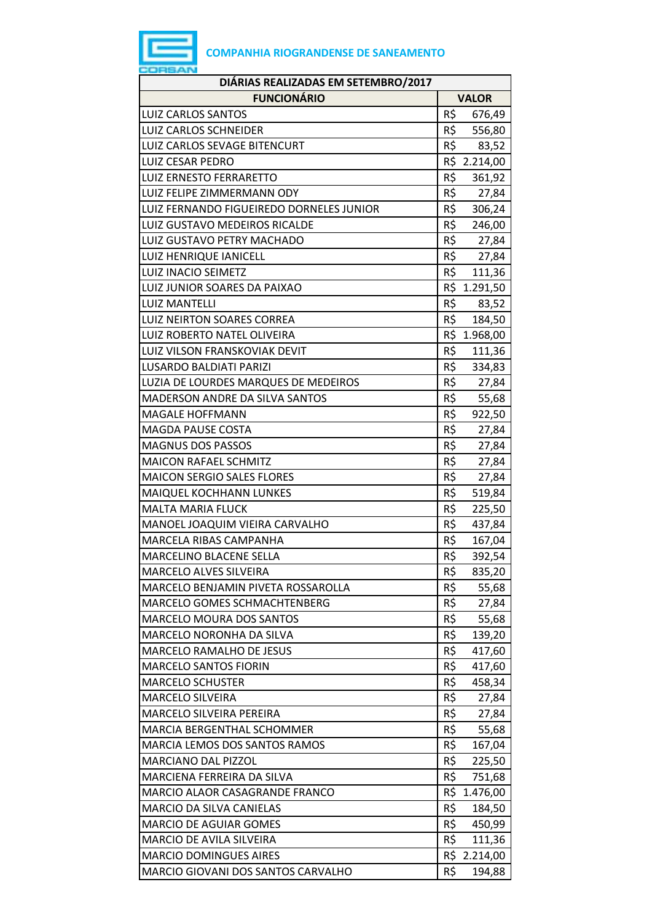

| DIÁRIAS REALIZADAS EM SETEMBRO/2017      |                 |  |  |
|------------------------------------------|-----------------|--|--|
| <b>FUNCIONÁRIO</b>                       | <b>VALOR</b>    |  |  |
| <b>LUIZ CARLOS SANTOS</b>                | R\$<br>676,49   |  |  |
| <b>LUIZ CARLOS SCHNEIDER</b>             | R\$<br>556,80   |  |  |
| <b>LUIZ CARLOS SEVAGE BITENCURT</b>      | R\$<br>83,52    |  |  |
| <b>LUIZ CESAR PEDRO</b>                  | R\$ 2.214,00    |  |  |
| LUIZ ERNESTO FERRARETTO                  | R\$<br>361,92   |  |  |
| LUIZ FELIPE ZIMMERMANN ODY               | R\$<br>27,84    |  |  |
| LUIZ FERNANDO FIGUEIREDO DORNELES JUNIOR | R\$<br>306,24   |  |  |
| LUIZ GUSTAVO MEDEIROS RICALDE            | R\$<br>246,00   |  |  |
| LUIZ GUSTAVO PETRY MACHADO               | R\$<br>27,84    |  |  |
| LUIZ HENRIQUE IANICELL                   | R\$<br>27,84    |  |  |
| LUIZ INACIO SEIMETZ                      | R\$<br>111,36   |  |  |
| LUIZ JUNIOR SOARES DA PAIXAO             | R\$ 1.291,50    |  |  |
| <b>LUIZ MANTELLI</b>                     | R\$<br>83,52    |  |  |
| LUIZ NEIRTON SOARES CORREA               | R\$<br>184,50   |  |  |
| LUIZ ROBERTO NATEL OLIVEIRA              | R\$ 1.968,00    |  |  |
| LUIZ VILSON FRANSKOVIAK DEVIT            | R\$<br>111,36   |  |  |
| <b>LUSARDO BALDIATI PARIZI</b>           | R\$<br>334,83   |  |  |
| LUZIA DE LOURDES MARQUES DE MEDEIROS     | R\$<br>27,84    |  |  |
| MADERSON ANDRE DA SILVA SANTOS           | R\$<br>55,68    |  |  |
| <b>MAGALE HOFFMANN</b>                   | R\$<br>922,50   |  |  |
| <b>MAGDA PAUSE COSTA</b>                 | R\$<br>27,84    |  |  |
| <b>MAGNUS DOS PASSOS</b>                 | R\$<br>27,84    |  |  |
| <b>MAICON RAFAEL SCHMITZ</b>             | R\$<br>27,84    |  |  |
| <b>MAICON SERGIO SALES FLORES</b>        | R\$<br>27,84    |  |  |
| MAIQUEL KOCHHANN LUNKES                  | R\$<br>519,84   |  |  |
| <b>MALTA MARIA FLUCK</b>                 | R\$<br>225,50   |  |  |
| MANOEL JOAQUIM VIEIRA CARVALHO           | R\$<br>437,84   |  |  |
| <b>MARCELA RIBAS CAMPANHA</b>            | R\$<br>167,04   |  |  |
| <b>MARCELINO BLACENE SELLA</b>           | R\$<br>392,54   |  |  |
| MARCELO ALVES SILVEIRA                   | R\$<br>835,20   |  |  |
| MARCELO BENJAMIN PIVETA ROSSAROLLA       | R\$<br>55,68    |  |  |
| MARCELO GOMES SCHMACHTENBERG             | R\$<br>27,84    |  |  |
| <b>MARCELO MOURA DOS SANTOS</b>          | R\$<br>55,68    |  |  |
| MARCELO NORONHA DA SILVA                 | R\$<br>139,20   |  |  |
| <b>MARCELO RAMALHO DE JESUS</b>          | R\$<br>417,60   |  |  |
| <b>MARCELO SANTOS FIORIN</b>             | R\$<br>417,60   |  |  |
| <b>MARCELO SCHUSTER</b>                  | R\$<br>458,34   |  |  |
| <b>MARCELO SILVEIRA</b>                  | R\$<br>27,84    |  |  |
| MARCELO SILVEIRA PEREIRA                 | R\$<br>27,84    |  |  |
| MARCIA BERGENTHAL SCHOMMER               | R\$<br>55,68    |  |  |
| MARCIA LEMOS DOS SANTOS RAMOS            | R\$<br>167,04   |  |  |
| <b>MARCIANO DAL PIZZOL</b>               | R\$<br>225,50   |  |  |
| MARCIENA FERREIRA DA SILVA               | R\$<br>751,68   |  |  |
| MARCIO ALAOR CASAGRANDE FRANCO           | R\$<br>1.476,00 |  |  |
| MARCIO DA SILVA CANIELAS                 | R\$<br>184,50   |  |  |
| <b>MARCIO DE AGUIAR GOMES</b>            | R\$<br>450,99   |  |  |
| MARCIO DE AVILA SILVEIRA                 | R\$<br>111,36   |  |  |
| <b>MARCIO DOMINGUES AIRES</b>            | R\$ 2.214,00    |  |  |
| MARCIO GIOVANI DOS SANTOS CARVALHO       | R\$<br>194,88   |  |  |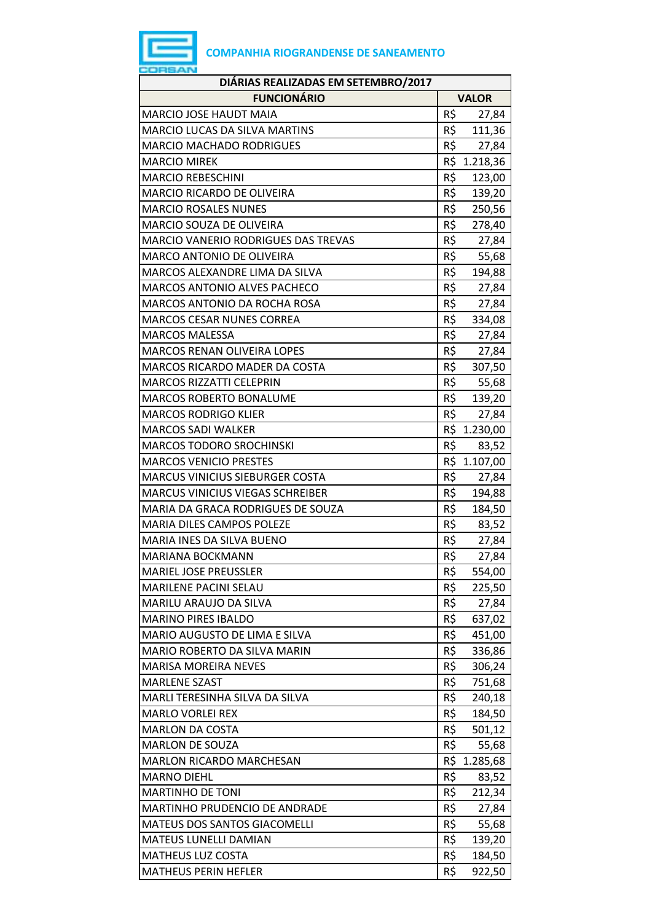

| DIÁRIAS REALIZADAS EM SETEMBRO/2017        |     |              |  |
|--------------------------------------------|-----|--------------|--|
| <b>FUNCIONÁRIO</b>                         |     | <b>VALOR</b> |  |
| <b>MARCIO JOSE HAUDT MAIA</b>              | R\$ | 27,84        |  |
| <b>MARCIO LUCAS DA SILVA MARTINS</b>       | R\$ | 111,36       |  |
| <b>MARCIO MACHADO RODRIGUES</b>            | R\$ | 27,84        |  |
| <b>MARCIO MIREK</b>                        |     | R\$ 1.218,36 |  |
| <b>MARCIO REBESCHINI</b>                   | R\$ | 123,00       |  |
| <b>MARCIO RICARDO DE OLIVEIRA</b>          | R\$ | 139,20       |  |
| <b>MARCIO ROSALES NUNES</b>                | R\$ | 250,56       |  |
| <b>MARCIO SOUZA DE OLIVEIRA</b>            | R\$ | 278,40       |  |
| <b>MARCIO VANERIO RODRIGUES DAS TREVAS</b> | R\$ | 27,84        |  |
| <b>MARCO ANTONIO DE OLIVEIRA</b>           | R\$ | 55,68        |  |
| MARCOS ALEXANDRE LIMA DA SILVA             | R\$ | 194,88       |  |
| <b>MARCOS ANTONIO ALVES PACHECO</b>        | R\$ | 27,84        |  |
| MARCOS ANTONIO DA ROCHA ROSA               | R\$ | 27,84        |  |
| <b>MARCOS CESAR NUNES CORREA</b>           | R\$ | 334,08       |  |
| <b>MARCOS MALESSA</b>                      | R\$ | 27,84        |  |
| <b>MARCOS RENAN OLIVEIRA LOPES</b>         | R\$ | 27,84        |  |
| MARCOS RICARDO MADER DA COSTA              | R\$ | 307,50       |  |
| <b>MARCOS RIZZATTI CELEPRIN</b>            | R\$ | 55,68        |  |
| <b>MARCOS ROBERTO BONALUME</b>             | R\$ | 139,20       |  |
| <b>MARCOS RODRIGO KLIER</b>                | R\$ | 27,84        |  |
| <b>MARCOS SADI WALKER</b>                  |     | R\$ 1.230,00 |  |
| <b>MARCOS TODORO SROCHINSKI</b>            | R\$ | 83,52        |  |
| <b>MARCOS VENICIO PRESTES</b>              |     | R\$ 1.107,00 |  |
| MARCUS VINICIUS SIEBURGER COSTA            | R\$ | 27,84        |  |
| <b>MARCUS VINICIUS VIEGAS SCHREIBER</b>    | R\$ | 194,88       |  |
| MARIA DA GRACA RODRIGUES DE SOUZA          | R\$ | 184,50       |  |
| MARIA DILES CAMPOS POLEZE                  | R\$ | 83,52        |  |
| MARIA INES DA SILVA BUENO                  | R\$ | 27,84        |  |
| <b>MARIANA BOCKMANN</b>                    | R\$ | 27,84        |  |
| <b>MARIEL JOSE PREUSSLER</b>               | R\$ | 554,00       |  |
| <b>MARILENE PACINI SELAU</b>               | R\$ | 225,50       |  |
| MARILU ARAUJO DA SILVA                     | R\$ | 27,84        |  |
| <b>MARINO PIRES IBALDO</b>                 | R\$ | 637,02       |  |
| MARIO AUGUSTO DE LIMA E SILVA              | R\$ | 451,00       |  |
| MARIO ROBERTO DA SILVA MARIN               | R\$ | 336,86       |  |
| <b>MARISA MOREIRA NEVES</b>                | R\$ | 306,24       |  |
| <b>MARLENE SZAST</b>                       | R\$ | 751,68       |  |
| MARLI TERESINHA SILVA DA SILVA             | R\$ | 240,18       |  |
| <b>MARLO VORLEI REX</b>                    | R\$ | 184,50       |  |
| <b>MARLON DA COSTA</b>                     | R\$ | 501,12       |  |
| <b>MARLON DE SOUZA</b>                     | R\$ | 55,68        |  |
| <b>MARLON RICARDO MARCHESAN</b>            | R\$ | 1.285,68     |  |
| <b>MARNO DIEHL</b>                         | R\$ | 83,52        |  |
| <b>MARTINHO DE TONI</b>                    | R\$ | 212,34       |  |
| MARTINHO PRUDENCIO DE ANDRADE              | R\$ | 27,84        |  |
| MATEUS DOS SANTOS GIACOMELLI               | R\$ | 55,68        |  |
| MATEUS LUNELLI DAMIAN                      | R\$ | 139,20       |  |
| <b>MATHEUS LUZ COSTA</b>                   | R\$ | 184,50       |  |
| <b>MATHEUS PERIN HEFLER</b>                | R\$ | 922,50       |  |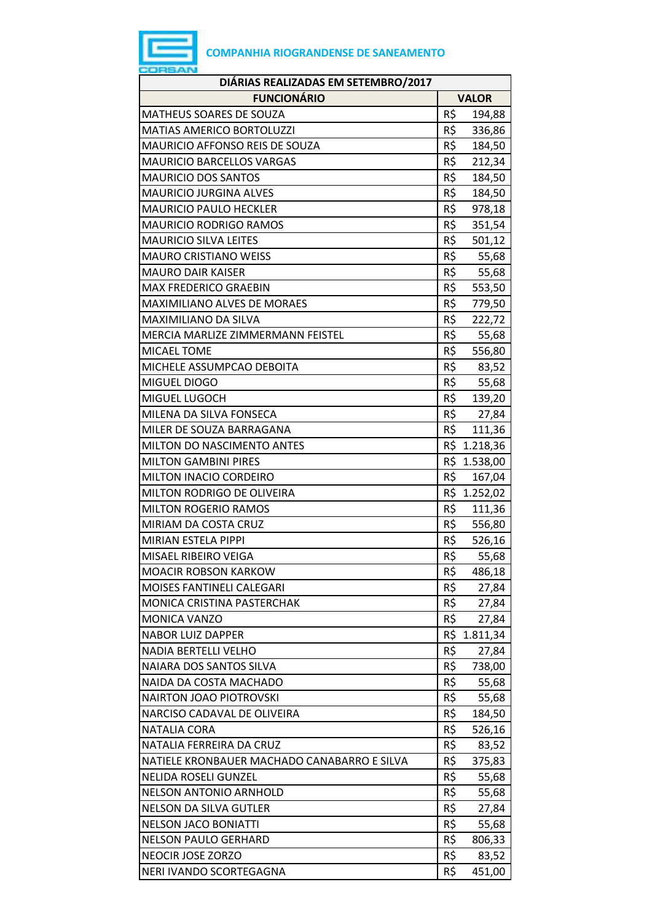

| DIÁRIAS REALIZADAS EM SETEMBRO/2017         |     |              |  |
|---------------------------------------------|-----|--------------|--|
| <b>FUNCIONÁRIO</b>                          |     | <b>VALOR</b> |  |
| <b>MATHEUS SOARES DE SOUZA</b>              | R\$ | 194,88       |  |
| <b>MATIAS AMERICO BORTOLUZZI</b>            | R\$ | 336,86       |  |
| <b>MAURICIO AFFONSO REIS DE SOUZA</b>       | R\$ | 184,50       |  |
| <b>MAURICIO BARCELLOS VARGAS</b>            | R\$ | 212,34       |  |
| <b>MAURICIO DOS SANTOS</b>                  | R\$ | 184,50       |  |
| <b>MAURICIO JURGINA ALVES</b>               | R\$ | 184,50       |  |
| <b>MAURICIO PAULO HECKLER</b>               | R\$ | 978,18       |  |
| <b>MAURICIO RODRIGO RAMOS</b>               | R\$ | 351,54       |  |
| <b>MAURICIO SILVA LEITES</b>                | R\$ | 501,12       |  |
| <b>MAURO CRISTIANO WEISS</b>                | R\$ | 55,68        |  |
| <b>MAURO DAIR KAISER</b>                    | R\$ | 55,68        |  |
| <b>MAX FREDERICO GRAEBIN</b>                | R\$ | 553,50       |  |
| <b>MAXIMILIANO ALVES DE MORAES</b>          | R\$ | 779,50       |  |
| MAXIMILIANO DA SILVA                        | R\$ | 222,72       |  |
| MERCIA MARLIZE ZIMMERMANN FEISTEL           | R\$ | 55,68        |  |
| MICAEL TOME                                 | R\$ | 556,80       |  |
| MICHELE ASSUMPCAO DEBOITA                   | R\$ | 83,52        |  |
| MIGUEL DIOGO                                | R\$ | 55,68        |  |
| MIGUEL LUGOCH                               | R\$ | 139,20       |  |
| MILENA DA SILVA FONSECA                     | R\$ | 27,84        |  |
| MILER DE SOUZA BARRAGANA                    | R\$ | 111,36       |  |
| <b>MILTON DO NASCIMENTO ANTES</b>           | R\$ | 1.218,36     |  |
| <b>MILTON GAMBINI PIRES</b>                 |     | R\$ 1.538,00 |  |
| <b>MILTON INACIO CORDEIRO</b>               | R\$ | 167,04       |  |
| MILTON RODRIGO DE OLIVEIRA                  |     | R\$ 1.252,02 |  |
| <b>MILTON ROGERIO RAMOS</b>                 | R\$ | 111,36       |  |
| MIRIAM DA COSTA CRUZ                        | R\$ | 556,80       |  |
| MIRIAN ESTELA PIPPI                         | R\$ | 526,16       |  |
| MISAEL RIBEIRO VEIGA                        | R\$ | 55,68        |  |
| <b>MOACIR ROBSON KARKOW</b>                 | R\$ | 486,18       |  |
| MOISES FANTINELI CALEGARI                   | R\$ | 27,84        |  |
| <b>MONICA CRISTINA PASTERCHAK</b>           | R\$ | 27,84        |  |
| <b>MONICA VANZO</b>                         | R\$ | 27,84        |  |
| <b>NABOR LUIZ DAPPER</b>                    | R\$ | 1.811,34     |  |
| <b>NADIA BERTELLI VELHO</b>                 | R\$ | 27,84        |  |
| NAIARA DOS SANTOS SILVA                     | R\$ | 738,00       |  |
| NAIDA DA COSTA MACHADO                      | R\$ | 55,68        |  |
| <b>NAIRTON JOAO PIOTROVSKI</b>              | R\$ | 55,68        |  |
| NARCISO CADAVAL DE OLIVEIRA                 | R\$ | 184,50       |  |
| <b>NATALIA CORA</b>                         | R\$ | 526,16       |  |
| NATALIA FERREIRA DA CRUZ                    | R\$ | 83,52        |  |
| NATIELE KRONBAUER MACHADO CANABARRO E SILVA | R\$ | 375,83       |  |
| NELIDA ROSELI GUNZEL                        | R\$ | 55,68        |  |
| <b>NELSON ANTONIO ARNHOLD</b>               | R\$ | 55,68        |  |
| <b>NELSON DA SILVA GUTLER</b>               | R\$ | 27,84        |  |
| <b>NELSON JACO BONIATTI</b>                 | R\$ | 55,68        |  |
| <b>NELSON PAULO GERHARD</b>                 | R\$ | 806,33       |  |
| NEOCIR JOSE ZORZO                           | R\$ | 83,52        |  |
| NERI IVANDO SCORTEGAGNA                     | R\$ | 451,00       |  |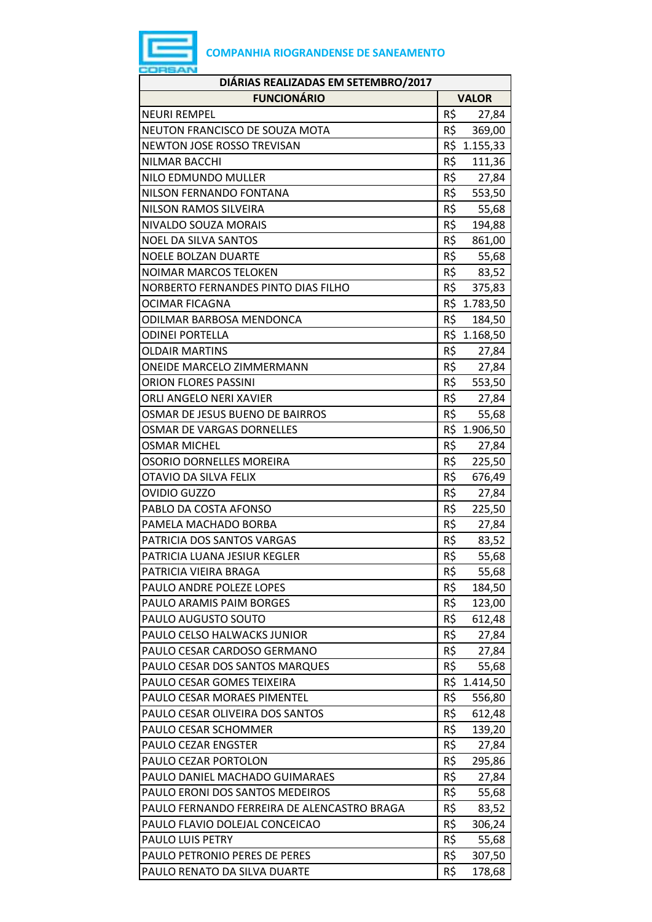

| DIÁRIAS REALIZADAS EM SETEMBRO/2017         |     |              |
|---------------------------------------------|-----|--------------|
| <b>FUNCIONÁRIO</b>                          |     | <b>VALOR</b> |
| <b>NEURI REMPEL</b>                         | R\$ | 27,84        |
| NEUTON FRANCISCO DE SOUZA MOTA              | R\$ | 369,00       |
| NEWTON JOSE ROSSO TREVISAN                  |     | R\$ 1.155,33 |
| NILMAR BACCHI                               | R\$ | 111,36       |
| NILO EDMUNDO MULLER                         | R\$ | 27,84        |
| NILSON FERNANDO FONTANA                     | R\$ | 553,50       |
| NILSON RAMOS SILVEIRA                       | R\$ | 55,68        |
| NIVALDO SOUZA MORAIS                        | R\$ | 194,88       |
| <b>NOEL DA SILVA SANTOS</b>                 | R\$ | 861,00       |
| <b>NOELE BOLZAN DUARTE</b>                  | R\$ | 55,68        |
| <b>NOIMAR MARCOS TELOKEN</b>                | R\$ | 83,52        |
| NORBERTO FERNANDES PINTO DIAS FILHO         | R\$ | 375,83       |
| OCIMAR FICAGNA                              |     | R\$ 1.783,50 |
| ODILMAR BARBOSA MENDONCA                    | R\$ | 184,50       |
| <b>ODINEI PORTELLA</b>                      |     | R\$ 1.168,50 |
| <b>OLDAIR MARTINS</b>                       | R\$ | 27,84        |
| <b>ONEIDE MARCELO ZIMMERMANN</b>            | R\$ | 27,84        |
| <b>ORION FLORES PASSINI</b>                 |     | R\$ 553,50   |
| ORLI ANGELO NERI XAVIER                     | R\$ | 27,84        |
| OSMAR DE JESUS BUENO DE BAIRROS             | R\$ | 55,68        |
| OSMAR DE VARGAS DORNELLES                   |     | R\$ 1.906,50 |
| <b>OSMAR MICHEL</b>                         | R\$ | 27,84        |
| <b>OSORIO DORNELLES MOREIRA</b>             | R\$ | 225,50       |
| OTAVIO DA SILVA FELIX                       | R\$ | 676,49       |
| OVIDIO GUZZO                                | R\$ | 27,84        |
| PABLO DA COSTA AFONSO                       | R\$ | 225,50       |
| PAMELA MACHADO BORBA                        | R\$ | 27,84        |
| PATRICIA DOS SANTOS VARGAS                  | R\$ | 83,52        |
| PATRICIA LUANA JESIUR KEGLER                | R\$ | 55,68        |
| PATRICIA VIEIRA BRAGA                       | R\$ | 55,68        |
| PAULO ANDRE POLEZE LOPES                    | R\$ | 184,50       |
| PAULO ARAMIS PAIM BORGES                    | R\$ | 123,00       |
| PAULO AUGUSTO SOUTO                         | R\$ | 612,48       |
| PAULO CELSO HALWACKS JUNIOR                 | R\$ | 27,84        |
| PAULO CESAR CARDOSO GERMANO                 | R\$ | 27,84        |
| PAULO CESAR DOS SANTOS MARQUES              | R\$ | 55,68        |
| PAULO CESAR GOMES TEIXEIRA                  | R\$ | 1.414,50     |
| PAULO CESAR MORAES PIMENTEL                 | R\$ | 556,80       |
| PAULO CESAR OLIVEIRA DOS SANTOS             | R\$ | 612,48       |
| PAULO CESAR SCHOMMER                        | R\$ | 139,20       |
| PAULO CEZAR ENGSTER                         | R\$ | 27,84        |
| PAULO CEZAR PORTOLON                        | R\$ | 295,86       |
| PAULO DANIEL MACHADO GUIMARAES              | R\$ | 27,84        |
| PAULO ERONI DOS SANTOS MEDEIROS             | R\$ | 55,68        |
| PAULO FERNANDO FERREIRA DE ALENCASTRO BRAGA | R\$ | 83,52        |
| PAULO FLAVIO DOLEJAL CONCEICAO              | R\$ | 306,24       |
| PAULO LUIS PETRY                            | R\$ | 55,68        |
| PAULO PETRONIO PERES DE PERES               | R\$ | 307,50       |
| PAULO RENATO DA SILVA DUARTE                | R\$ | 178,68       |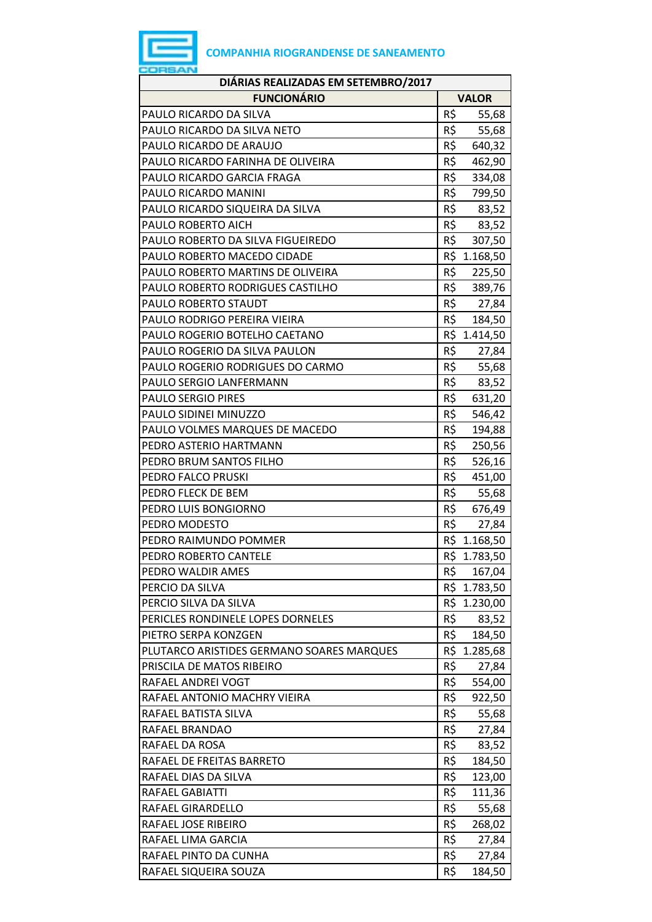

| DIÁRIAS REALIZADAS EM SETEMBRO/2017       |              |              |  |
|-------------------------------------------|--------------|--------------|--|
| <b>FUNCIONÁRIO</b>                        | <b>VALOR</b> |              |  |
| PAULO RICARDO DA SILVA                    | R\$          | 55,68        |  |
| PAULO RICARDO DA SILVA NETO               | R\$          | 55,68        |  |
| PAULO RICARDO DE ARAUJO                   | R\$          | 640,32       |  |
| PAULO RICARDO FARINHA DE OLIVEIRA         | R\$          | 462,90       |  |
| PAULO RICARDO GARCIA FRAGA                | R\$          | 334,08       |  |
| PAULO RICARDO MANINI                      | R\$          | 799,50       |  |
| PAULO RICARDO SIQUEIRA DA SILVA           | R\$          | 83,52        |  |
| PAULO ROBERTO AICH                        | R\$          | 83,52        |  |
| PAULO ROBERTO DA SILVA FIGUEIREDO         | R\$          | 307,50       |  |
| PAULO ROBERTO MACEDO CIDADE               |              | R\$ 1.168,50 |  |
| PAULO ROBERTO MARTINS DE OLIVEIRA         | R\$          | 225,50       |  |
| PAULO ROBERTO RODRIGUES CASTILHO          | R\$          | 389,76       |  |
| PAULO ROBERTO STAUDT                      |              | R\$ 27,84    |  |
| PAULO RODRIGO PEREIRA VIEIRA              | R\$          | 184,50       |  |
| PAULO ROGERIO BOTELHO CAETANO             |              | R\$ 1.414,50 |  |
| PAULO ROGERIO DA SILVA PAULON             | R\$          | 27,84        |  |
| PAULO ROGERIO RODRIGUES DO CARMO          | R\$          | 55,68        |  |
| PAULO SERGIO LANFERMANN                   | R\$          | 83,52        |  |
| <b>PAULO SERGIO PIRES</b>                 | R\$          | 631,20       |  |
| PAULO SIDINEI MINUZZO                     | R\$          | 546,42       |  |
| PAULO VOLMES MARQUES DE MACEDO            | R\$          | 194,88       |  |
| PEDRO ASTERIO HARTMANN                    | R\$          | 250,56       |  |
| PEDRO BRUM SANTOS FILHO                   | R\$          | 526,16       |  |
| PEDRO FALCO PRUSKI                        | R\$          | 451,00       |  |
| PEDRO FLECK DE BEM                        | R\$          | 55,68        |  |
| PEDRO LUIS BONGIORNO                      | R\$          | 676,49       |  |
| PEDRO MODESTO                             | R\$          | 27,84        |  |
| PEDRO RAIMUNDO POMMER                     |              | R\$ 1.168,50 |  |
| PEDRO ROBERTO CANTELE                     |              | R\$ 1.783,50 |  |
| PEDRO WALDIR AMES                         | R\$          | 167,04       |  |
| PERCIO DA SILVA                           |              | R\$ 1.783,50 |  |
| PERCIO SILVA DA SILVA                     |              | R\$ 1.230,00 |  |
| PERICLES RONDINELE LOPES DORNELES         | R\$          | 83,52        |  |
| PIETRO SERPA KONZGEN                      | R\$          | 184,50       |  |
| PLUTARCO ARISTIDES GERMANO SOARES MARQUES |              | R\$ 1.285,68 |  |
| PRISCILA DE MATOS RIBEIRO                 | R\$          | 27,84        |  |
| RAFAEL ANDREI VOGT                        | R\$          | 554,00       |  |
| RAFAEL ANTONIO MACHRY VIEIRA              | R\$          | 922,50       |  |
| RAFAEL BATISTA SILVA                      | R\$          | 55,68        |  |
| RAFAEL BRANDAO                            | R\$          | 27,84        |  |
| RAFAEL DA ROSA                            | R\$          | 83,52        |  |
| RAFAEL DE FREITAS BARRETO                 | R\$          | 184,50       |  |
| RAFAEL DIAS DA SILVA                      | R\$          | 123,00       |  |
| RAFAEL GABIATTI                           | R\$          | 111,36       |  |
| RAFAEL GIRARDELLO                         | R\$          | 55,68        |  |
| RAFAEL JOSE RIBEIRO                       | R\$          | 268,02       |  |
| RAFAEL LIMA GARCIA                        | R\$          | 27,84        |  |
| RAFAEL PINTO DA CUNHA                     | R\$          | 27,84        |  |
| RAFAEL SIQUEIRA SOUZA                     | R\$          | 184,50       |  |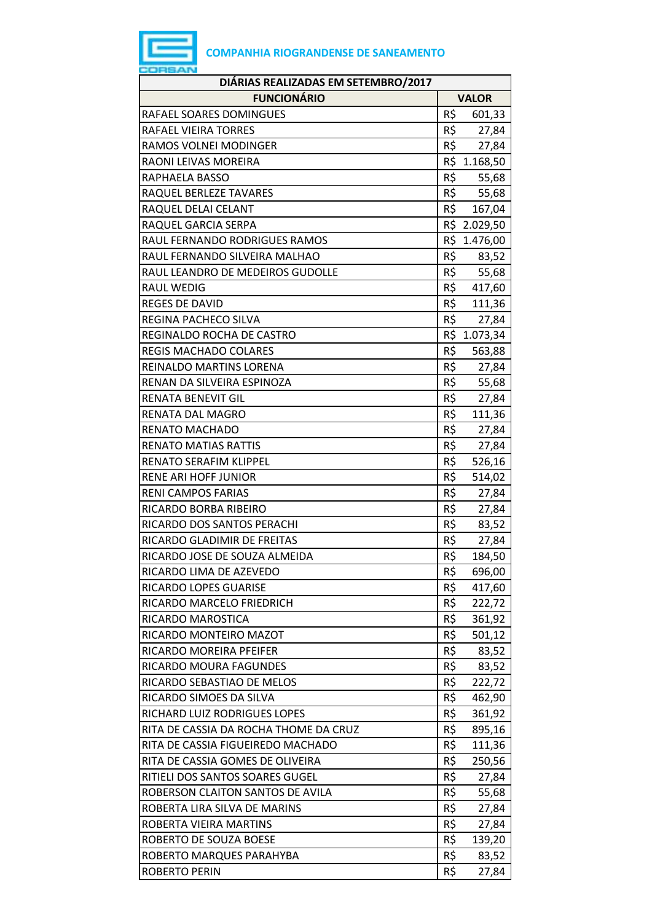| DIÁRIAS REALIZADAS EM SETEMBRO/2017   |                 |              |  |
|---------------------------------------|-----------------|--------------|--|
| <b>FUNCIONÁRIO</b>                    |                 | <b>VALOR</b> |  |
| RAFAEL SOARES DOMINGUES               | R\$             | 601,33       |  |
| RAFAEL VIEIRA TORRES                  | $R\frac{2}{3}$  | 27,84        |  |
| RAMOS VOLNEI MODINGER                 | R\$             | 27,84        |  |
| RAONI LEIVAS MOREIRA                  |                 | R\$ 1.168,50 |  |
| RAPHAELA BASSO                        | R\$             | 55,68        |  |
| RAQUEL BERLEZE TAVARES                | R\$             | 55,68        |  |
| RAQUEL DELAI CELANT                   | R\$             | 167,04       |  |
| RAQUEL GARCIA SERPA                   |                 | R\$ 2.029,50 |  |
| RAUL FERNANDO RODRIGUES RAMOS         |                 | R\$ 1.476,00 |  |
| RAUL FERNANDO SILVEIRA MALHAO         | R\$             | 83,52        |  |
| RAUL LEANDRO DE MEDEIROS GUDOLLE      | R\$             | 55,68        |  |
| <b>RAUL WEDIG</b>                     | R\$             | 417,60       |  |
| <b>REGES DE DAVID</b>                 | R\$             | 111,36       |  |
| REGINA PACHECO SILVA                  | R\$             | 27,84        |  |
| REGINALDO ROCHA DE CASTRO             |                 | R\$ 1.073,34 |  |
| <b>REGIS MACHADO COLARES</b>          | R\$             | 563,88       |  |
| <b>REINALDO MARTINS LORENA</b>        | R\$             | 27,84        |  |
| RENAN DA SILVEIRA ESPINOZA            | R\$             | 55,68        |  |
| <b>RENATA BENEVIT GIL</b>             | $R\overline{S}$ | 27,84        |  |
| RENATA DAL MAGRO                      | R\$             | 111,36       |  |
| <b>RENATO MACHADO</b>                 | R\$             | 27,84        |  |
| <b>RENATO MATIAS RATTIS</b>           | R\$             | 27,84        |  |
| <b>RENATO SERAFIM KLIPPEL</b>         | R\$             | 526,16       |  |
| <b>RENE ARI HOFF JUNIOR</b>           | R\$             | 514,02       |  |
| RENI CAMPOS FARIAS                    | R\$             | 27,84        |  |
| RICARDO BORBA RIBEIRO                 | R\$             | 27,84        |  |
| RICARDO DOS SANTOS PERACHI            | R\$             | 83,52        |  |
| RICARDO GLADIMIR DE FREITAS           | R\$             | 27,84        |  |
| RICARDO JOSE DE SOUZA ALMEIDA         | R\$             | 184,50       |  |
| RICARDO LIMA DE AZEVEDO               | R\$             | 696,00       |  |
| <b>RICARDO LOPES GUARISE</b>          | R\$             | 417,60       |  |
| RICARDO MARCELO FRIEDRICH             | R\$             | 222,72       |  |
| RICARDO MAROSTICA                     | R\$             | 361,92       |  |
| RICARDO MONTEIRO MAZOT                | R\$             | 501,12       |  |
| RICARDO MOREIRA PFEIFER               | R\$             | 83,52        |  |
| RICARDO MOURA FAGUNDES                | R\$             | 83,52        |  |
| RICARDO SEBASTIAO DE MELOS            | R\$             | 222,72       |  |
| RICARDO SIMOES DA SILVA               | R\$             | 462,90       |  |
| RICHARD LUIZ RODRIGUES LOPES          | R\$             | 361,92       |  |
| RITA DE CASSIA DA ROCHA THOME DA CRUZ | R\$             | 895,16       |  |
| RITA DE CASSIA FIGUEIREDO MACHADO     | R\$             | 111,36       |  |
| RITA DE CASSIA GOMES DE OLIVEIRA      | R\$             | 250,56       |  |
| RITIELI DOS SANTOS SOARES GUGEL       | R\$             | 27,84        |  |
| ROBERSON CLAITON SANTOS DE AVILA      | R\$             | 55,68        |  |
| ROBERTA LIRA SILVA DE MARINS          | R\$             | 27,84        |  |
| ROBERTA VIEIRA MARTINS                | R\$             | 27,84        |  |
| ROBERTO DE SOUZA BOESE                | R\$             | 139,20       |  |
| ROBERTO MARQUES PARAHYBA              | R\$             | 83,52        |  |
| <b>ROBERTO PERIN</b>                  | R\$             | 27,84        |  |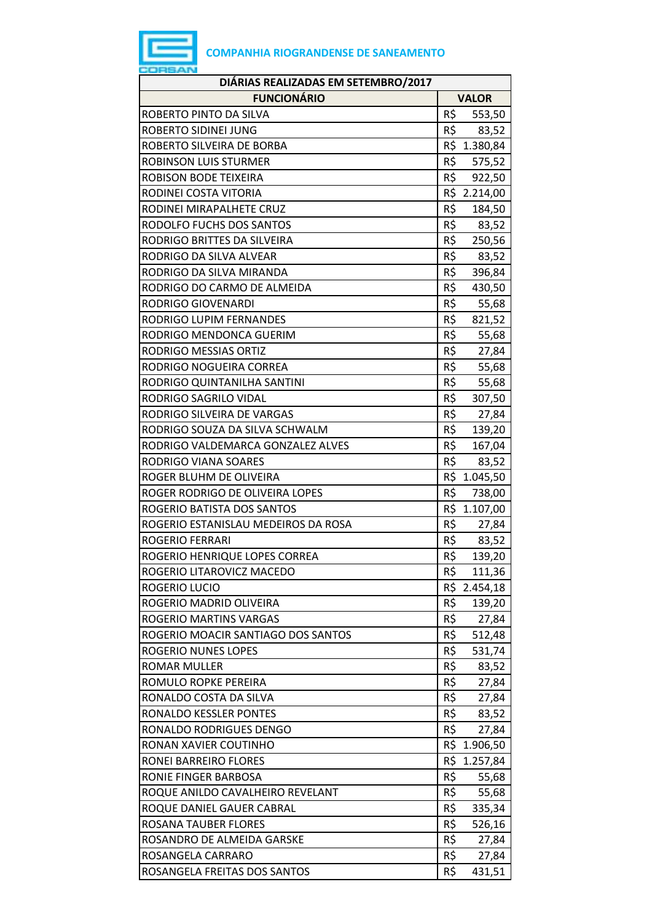

| DIÁRIAS REALIZADAS EM SETEMBRO/2017 |               |  |  |
|-------------------------------------|---------------|--|--|
| <b>FUNCIONÁRIO</b>                  | <b>VALOR</b>  |  |  |
| ROBERTO PINTO DA SILVA              | R\$<br>553,50 |  |  |
| ROBERTO SIDINEI JUNG                | R\$<br>83,52  |  |  |
| ROBERTO SILVEIRA DE BORBA           | R\$ 1.380,84  |  |  |
| ROBINSON LUIS STURMER               | R\$<br>575,52 |  |  |
| ROBISON BODE TEIXEIRA               | R\$<br>922,50 |  |  |
| RODINEI COSTA VITORIA               | R\$ 2.214,00  |  |  |
| RODINEI MIRAPALHETE CRUZ            | R\$<br>184,50 |  |  |
| RODOLFO FUCHS DOS SANTOS            | R\$ 83,52     |  |  |
| RODRIGO BRITTES DA SILVEIRA         | R\$<br>250,56 |  |  |
| RODRIGO DA SILVA ALVEAR             | R\$<br>83,52  |  |  |
| RODRIGO DA SILVA MIRANDA            | R\$<br>396,84 |  |  |
| RODRIGO DO CARMO DE ALMEIDA         | R\$<br>430,50 |  |  |
| RODRIGO GIOVENARDI                  | R\$<br>55,68  |  |  |
| RODRIGO LUPIM FERNANDES             | R\$<br>821,52 |  |  |
| RODRIGO MENDONCA GUERIM             | R\$<br>55,68  |  |  |
| <b>RODRIGO MESSIAS ORTIZ</b>        | R\$<br>27,84  |  |  |
| RODRIGO NOGUEIRA CORREA             | R\$<br>55,68  |  |  |
| RODRIGO QUINTANILHA SANTINI         | R\$<br>55,68  |  |  |
| RODRIGO SAGRILO VIDAL               | R\$<br>307,50 |  |  |
| RODRIGO SILVEIRA DE VARGAS          | R\$<br>27,84  |  |  |
| RODRIGO SOUZA DA SILVA SCHWALM      | R\$<br>139,20 |  |  |
| RODRIGO VALDEMARCA GONZALEZ ALVES   | R\$<br>167,04 |  |  |
| RODRIGO VIANA SOARES                | R\$<br>83,52  |  |  |
| ROGER BLUHM DE OLIVEIRA             | R\$ 1.045,50  |  |  |
| ROGER RODRIGO DE OLIVEIRA LOPES     | R\$<br>738,00 |  |  |
| ROGERIO BATISTA DOS SANTOS          | R\$ 1.107,00  |  |  |
| ROGERIO ESTANISLAU MEDEIROS DA ROSA | R\$<br>27,84  |  |  |
| <b>ROGERIO FERRARI</b>              | R\$<br>83,52  |  |  |
| ROGERIO HENRIQUE LOPES CORREA       | R\$<br>139,20 |  |  |
| ROGERIO LITAROVICZ MACEDO           | R\$<br>111,36 |  |  |
| ROGERIO LUCIO                       | R\$ 2.454,18  |  |  |
| ROGERIO MADRID OLIVEIRA             | R\$<br>139,20 |  |  |
| ROGERIO MARTINS VARGAS              | R\$<br>27,84  |  |  |
| ROGERIO MOACIR SANTIAGO DOS SANTOS  | R\$<br>512,48 |  |  |
| ROGERIO NUNES LOPES                 | R\$<br>531,74 |  |  |
| <b>ROMAR MULLER</b>                 | R\$<br>83,52  |  |  |
| ROMULO ROPKE PEREIRA                | R\$<br>27,84  |  |  |
| RONALDO COSTA DA SILVA              | R\$<br>27,84  |  |  |
| RONALDO KESSLER PONTES              | R\$<br>83,52  |  |  |
| RONALDO RODRIGUES DENGO             | R\$<br>27,84  |  |  |
| RONAN XAVIER COUTINHO               | R\$ 1.906,50  |  |  |
| RONEI BARREIRO FLORES               | R\$ 1.257,84  |  |  |
| RONIE FINGER BARBOSA                | R\$<br>55,68  |  |  |
| ROQUE ANILDO CAVALHEIRO REVELANT    | R\$<br>55,68  |  |  |
| ROQUE DANIEL GAUER CABRAL           | R\$<br>335,34 |  |  |
| ROSANA TAUBER FLORES                | R\$<br>526,16 |  |  |
| ROSANDRO DE ALMEIDA GARSKE          | R\$<br>27,84  |  |  |
| ROSANGELA CARRARO                   | R\$<br>27,84  |  |  |
| ROSANGELA FREITAS DOS SANTOS        | R\$<br>431,51 |  |  |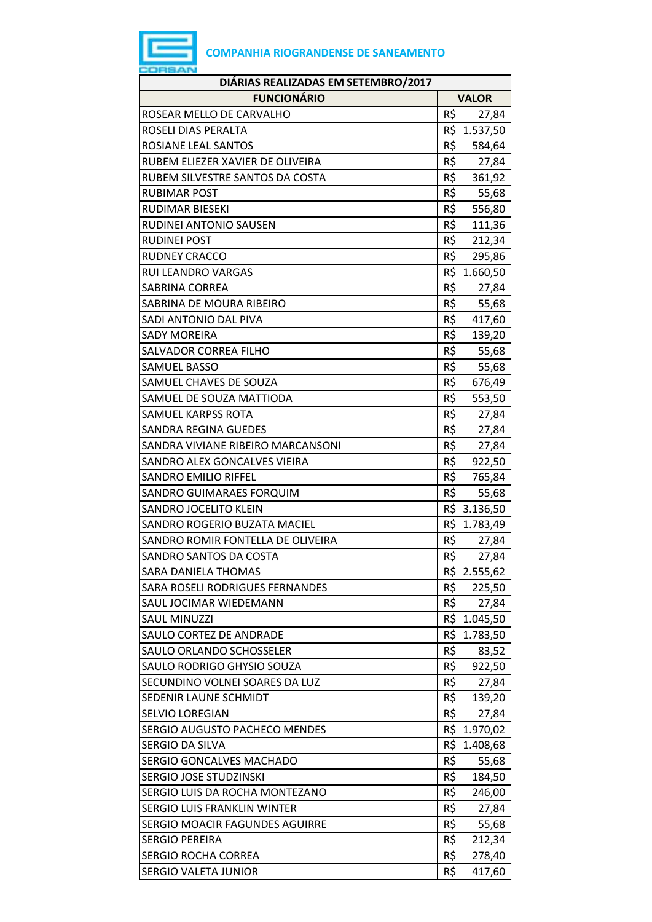

| DIÁRIAS REALIZADAS EM SETEMBRO/2017 |              |              |  |
|-------------------------------------|--------------|--------------|--|
| <b>FUNCIONÁRIO</b>                  | <b>VALOR</b> |              |  |
| ROSEAR MELLO DE CARVALHO            | R\$          | 27,84        |  |
| ROSELI DIAS PERALTA                 | R\$          | 1.537,50     |  |
| ROSIANE LEAL SANTOS                 | R\$          | 584,64       |  |
| RUBEM ELIEZER XAVIER DE OLIVEIRA    | R\$          | 27,84        |  |
| RUBEM SILVESTRE SANTOS DA COSTA     | R\$          | 361,92       |  |
| <b>RUBIMAR POST</b>                 | R\$          | 55,68        |  |
| <b>RUDIMAR BIESEKI</b>              | R\$          | 556,80       |  |
| RUDINEI ANTONIO SAUSEN              | R\$          | 111,36       |  |
| <b>RUDINEI POST</b>                 | R\$          | 212,34       |  |
| <b>RUDNEY CRACCO</b>                | R\$          | 295,86       |  |
| <b>RUI LEANDRO VARGAS</b>           |              | R\$ 1.660,50 |  |
| <b>SABRINA CORREA</b>               | R\$          | 27,84        |  |
| SABRINA DE MOURA RIBEIRO            | R\$          | 55,68        |  |
| SADI ANTONIO DAL PIVA               | R\$          | 417,60       |  |
| <b>SADY MOREIRA</b>                 | R\$          | 139,20       |  |
| SALVADOR CORREA FILHO               | R\$          | 55,68        |  |
| <b>SAMUEL BASSO</b>                 | R\$          | 55,68        |  |
| SAMUEL CHAVES DE SOUZA              | R\$          | 676,49       |  |
| SAMUEL DE SOUZA MATTIODA            | R\$          | 553,50       |  |
| <b>SAMUEL KARPSS ROTA</b>           | R\$          | 27,84        |  |
| <b>SANDRA REGINA GUEDES</b>         | R\$          | 27,84        |  |
| SANDRA VIVIANE RIBEIRO MARCANSONI   | R\$          | 27,84        |  |
| SANDRO ALEX GONCALVES VIEIRA        | R\$          | 922,50       |  |
| <b>SANDRO EMILIO RIFFEL</b>         | R\$          | 765,84       |  |
| SANDRO GUIMARAES FORQUIM            | R\$          | 55,68        |  |
| <b>SANDRO JOCELITO KLEIN</b>        |              | R\$ 3.136,50 |  |
| SANDRO ROGERIO BUZATA MACIEL        |              | R\$ 1.783,49 |  |
| SANDRO ROMIR FONTELLA DE OLIVEIRA   | R\$          | 27,84        |  |
| SANDRO SANTOS DA COSTA              | R\$          | 27,84        |  |
| <b>SARA DANIELA THOMAS</b>          |              | R\$ 2.555,62 |  |
| SARA ROSELI RODRIGUES FERNANDES     | R\$          | 225,50       |  |
| SAUL JOCIMAR WIEDEMANN              | R\$          | 27,84        |  |
| <b>SAUL MINUZZI</b>                 |              | R\$ 1.045,50 |  |
| SAULO CORTEZ DE ANDRADE             | R\$          | 1.783,50     |  |
| SAULO ORLANDO SCHOSSELER            | R\$          | 83,52        |  |
| SAULO RODRIGO GHYSIO SOUZA          | R\$          | 922,50       |  |
| SECUNDINO VOLNEI SOARES DA LUZ      | R\$          | 27,84        |  |
| SEDENIR LAUNE SCHMIDT               | R\$          | 139,20       |  |
| <b>SELVIO LOREGIAN</b>              | R\$          | 27,84        |  |
| SERGIO AUGUSTO PACHECO MENDES       |              | R\$ 1.970,02 |  |
| SERGIO DA SILVA                     |              | R\$ 1.408,68 |  |
| <b>SERGIO GONCALVES MACHADO</b>     | R\$          | 55,68        |  |
| SERGIO JOSE STUDZINSKI              | R\$          | 184,50       |  |
| SERGIO LUIS DA ROCHA MONTEZANO      | R\$          | 246,00       |  |
| <b>SERGIO LUIS FRANKLIN WINTER</b>  | R\$          | 27,84        |  |
| SERGIO MOACIR FAGUNDES AGUIRRE      | R\$          | 55,68        |  |
| <b>SERGIO PEREIRA</b>               | R\$          | 212,34       |  |
| <b>SERGIO ROCHA CORREA</b>          | R\$          | 278,40       |  |
| SERGIO VALETA JUNIOR                | R\$          | 417,60       |  |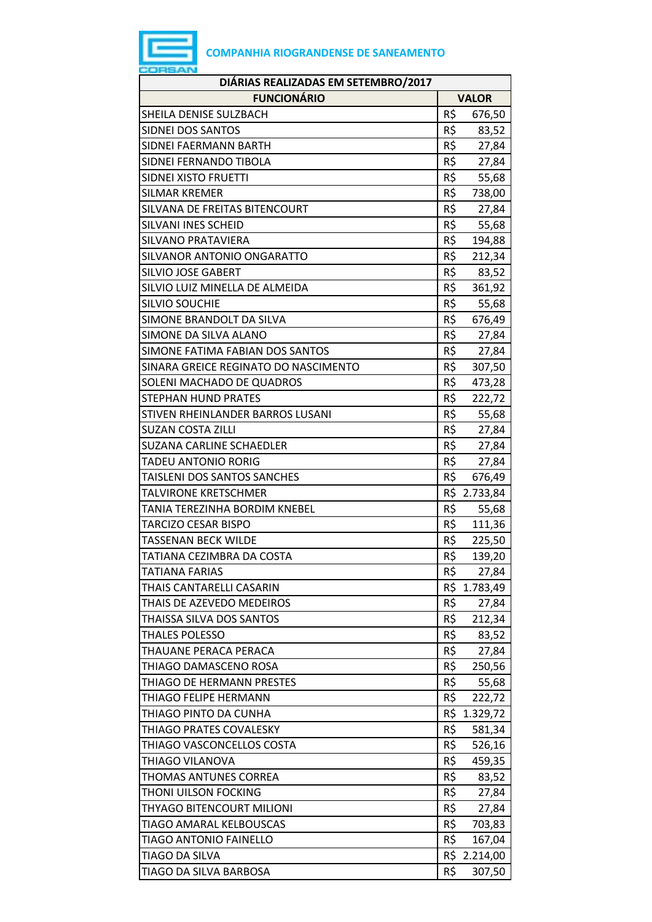| ____ | __ |
|------|----|

| DIÁRIAS REALIZADAS EM SETEMBRO/2017  |              |              |  |
|--------------------------------------|--------------|--------------|--|
| <b>FUNCIONÁRIO</b>                   | <b>VALOR</b> |              |  |
| SHEILA DENISE SULZBACH               | R\$          | 676,50       |  |
| <b>SIDNEI DOS SANTOS</b>             | R\$          | 83,52        |  |
| SIDNEI FAERMANN BARTH                | R\$          | 27,84        |  |
| SIDNEI FERNANDO TIBOLA               | R\$          | 27,84        |  |
| SIDNEI XISTO FRUETTI                 | R\$          | 55,68        |  |
| <b>SILMAR KREMER</b>                 | R\$          | 738,00       |  |
| SILVANA DE FREITAS BITENCOURT        | R\$          | 27,84        |  |
| SILVANI INES SCHEID                  | R\$          | 55,68        |  |
| SILVANO PRATAVIERA                   | R\$          | 194,88       |  |
| SILVANOR ANTONIO ONGARATTO           | R\$          | 212,34       |  |
| <b>SILVIO JOSE GABERT</b>            | R\$          | 83,52        |  |
| SILVIO LUIZ MINELLA DE ALMEIDA       | R\$          | 361,92       |  |
| <b>SILVIO SOUCHIE</b>                | R\$          | 55,68        |  |
| SIMONE BRANDOLT DA SILVA             | R\$          | 676,49       |  |
| SIMONE DA SILVA ALANO                | R\$          | 27,84        |  |
| SIMONE FATIMA FABIAN DOS SANTOS      | R\$          | 27,84        |  |
| SINARA GREICE REGINATO DO NASCIMENTO | R\$          | 307,50       |  |
| SOLENI MACHADO DE QUADROS            | R\$          | 473,28       |  |
| <b>STEPHAN HUND PRATES</b>           | R\$          | 222,72       |  |
| STIVEN RHEINLANDER BARROS LUSANI     | R\$          | 55,68        |  |
| <b>SUZAN COSTA ZILLI</b>             | R\$          | 27,84        |  |
| <b>SUZANA CARLINE SCHAEDLER</b>      | R\$          | 27,84        |  |
| TADEU ANTONIO RORIG                  | R\$          | 27,84        |  |
| TAISLENI DOS SANTOS SANCHES          | R\$          | 676,49       |  |
| TALVIRONE KRETSCHMER                 | R\$          | 2.733,84     |  |
| TANIA TEREZINHA BORDIM KNEBEL        | R\$          | 55,68        |  |
| TARCIZO CESAR BISPO                  | R\$          | 111,36       |  |
| <b>TASSENAN BECK WILDE</b>           | R\$          | 225,50       |  |
| TATIANA CEZIMBRA DA COSTA            | R\$          | 139,20       |  |
| <b>TATIANA FARIAS</b>                | R\$          | 27,84        |  |
| THAIS CANTARELLI CASARIN             |              | R\$ 1.783,49 |  |
| THAIS DE AZEVEDO MEDEIROS            | R\$          | 27,84        |  |
| THAISSA SILVA DOS SANTOS             | R\$          | 212,34       |  |
| <b>THALES POLESSO</b>                | R\$          | 83,52        |  |
| THAUANE PERACA PERACA                | R\$          | 27,84        |  |
| THIAGO DAMASCENO ROSA                | R\$          | 250,56       |  |
| THIAGO DE HERMANN PRESTES            | R\$          | 55,68        |  |
| THIAGO FELIPE HERMANN                | R\$          | 222,72       |  |
| THIAGO PINTO DA CUNHA                | R\$          | 1.329,72     |  |
| THIAGO PRATES COVALESKY              | R\$          | 581,34       |  |
| THIAGO VASCONCELLOS COSTA            | R\$          | 526,16       |  |
| THIAGO VILANOVA                      | R\$          | 459,35       |  |
| THOMAS ANTUNES CORREA                | R\$          | 83,52        |  |
| THONI UILSON FOCKING                 | R\$          | 27,84        |  |
| THYAGO BITENCOURT MILIONI            | R\$          | 27,84        |  |
| TIAGO AMARAL KELBOUSCAS              | R\$          | 703,83       |  |
| <b>TIAGO ANTONIO FAINELLO</b>        | R\$          | 167,04       |  |
| TIAGO DA SILVA                       | R\$          | 2.214,00     |  |
| TIAGO DA SILVA BARBOSA               | R\$          | 307,50       |  |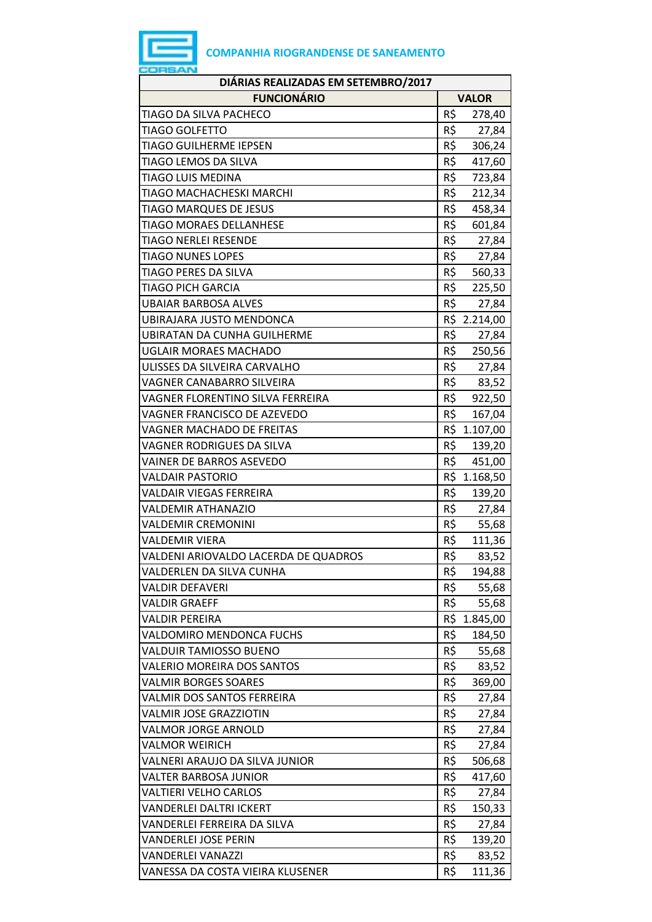| DIÁRIAS REALIZADAS EM SETEMBRO/2017  |     |              |  |  |  |  |
|--------------------------------------|-----|--------------|--|--|--|--|
| <b>FUNCIONÁRIO</b>                   |     | <b>VALOR</b> |  |  |  |  |
| TIAGO DA SILVA PACHECO               | R\$ | 278,40       |  |  |  |  |
| <b>TIAGO GOLFETTO</b>                | R\$ | 27,84        |  |  |  |  |
| TIAGO GUILHERME IEPSEN               | R\$ | 306,24       |  |  |  |  |
| TIAGO LEMOS DA SILVA                 | R\$ | 417,60       |  |  |  |  |
| TIAGO LUIS MEDINA                    | R\$ | 723,84       |  |  |  |  |
| TIAGO MACHACHESKI MARCHI             | R\$ | 212,34       |  |  |  |  |
| <b>TIAGO MARQUES DE JESUS</b>        | R\$ | 458,34       |  |  |  |  |
| <b>TIAGO MORAES DELLANHESE</b>       | R\$ | 601,84       |  |  |  |  |
| <b>TIAGO NERLEI RESENDE</b>          | R\$ | 27,84        |  |  |  |  |
| <b>TIAGO NUNES LOPES</b>             | R\$ | 27,84        |  |  |  |  |
| TIAGO PERES DA SILVA                 | R\$ | 560,33       |  |  |  |  |
| TIAGO PICH GARCIA                    | R\$ | 225,50       |  |  |  |  |
| <b>UBAIAR BARBOSA ALVES</b>          | R\$ | 27,84        |  |  |  |  |
| <b>UBIRAJARA JUSTO MENDONCA</b>      |     | R\$ 2.214,00 |  |  |  |  |
| <b>UBIRATAN DA CUNHA GUILHERME</b>   | R\$ | 27,84        |  |  |  |  |
| <b>UGLAIR MORAES MACHADO</b>         | R\$ | 250,56       |  |  |  |  |
| ULISSES DA SILVEIRA CARVALHO         | R\$ | 27,84        |  |  |  |  |
| VAGNER CANABARRO SILVEIRA            | R\$ | 83,52        |  |  |  |  |
| VAGNER FLORENTINO SILVA FERREIRA     | R\$ | 922,50       |  |  |  |  |
| VAGNER FRANCISCO DE AZEVEDO          | R\$ | 167,04       |  |  |  |  |
| VAGNER MACHADO DE FREITAS            |     | R\$ 1.107,00 |  |  |  |  |
| VAGNER RODRIGUES DA SILVA            | R\$ | 139,20       |  |  |  |  |
| <b>VAINER DE BARROS ASEVEDO</b>      | R\$ | 451,00       |  |  |  |  |
| <b>VALDAIR PASTORIO</b>              |     | R\$ 1.168,50 |  |  |  |  |
| VALDAIR VIEGAS FERREIRA              | R\$ | 139,20       |  |  |  |  |
| <b>VALDEMIR ATHANAZIO</b>            | R\$ | 27,84        |  |  |  |  |
| <b>VALDEMIR CREMONINI</b>            | R\$ | 55,68        |  |  |  |  |
| VALDEMIR VIERA                       | R\$ | 111,36       |  |  |  |  |
| VALDENI ARIOVALDO LACERDA DE QUADROS | R\$ | 83,52        |  |  |  |  |
| VALDERLEN DA SILVA CUNHA             | R\$ | 194,88       |  |  |  |  |
| <b>VALDIR DEFAVERI</b>               | R\$ | 55,68        |  |  |  |  |
| VALDIR GRAEFF                        | R\$ | 55,68        |  |  |  |  |
| <b>VALDIR PEREIRA</b>                | R\$ | 1.845,00     |  |  |  |  |
| VALDOMIRO MENDONCA FUCHS             | R\$ | 184,50       |  |  |  |  |
| <b>VALDUIR TAMIOSSO BUENO</b>        | R\$ | 55,68        |  |  |  |  |
| <b>VALERIO MOREIRA DOS SANTOS</b>    | R\$ | 83,52        |  |  |  |  |
| <b>VALMIR BORGES SOARES</b>          | R\$ | 369,00       |  |  |  |  |
| VALMIR DOS SANTOS FERREIRA           | R\$ | 27,84        |  |  |  |  |
| <b>VALMIR JOSE GRAZZIOTIN</b>        | R\$ | 27,84        |  |  |  |  |
| <b>VALMOR JORGE ARNOLD</b>           | R\$ | 27,84        |  |  |  |  |
| <b>VALMOR WEIRICH</b>                | R\$ | 27,84        |  |  |  |  |
| VALNERI ARAUJO DA SILVA JUNIOR       | R\$ | 506,68       |  |  |  |  |
| VALTER BARBOSA JUNIOR                | R\$ | 417,60       |  |  |  |  |
| <b>VALTIERI VELHO CARLOS</b>         | R\$ | 27,84        |  |  |  |  |
| <b>VANDERLEI DALTRI ICKERT</b>       | R\$ | 150,33       |  |  |  |  |
| VANDERLEI FERREIRA DA SILVA          | R\$ | 27,84        |  |  |  |  |
| VANDERLEI JOSE PERIN                 | R\$ | 139,20       |  |  |  |  |
| VANDERLEI VANAZZI                    | R\$ | 83,52        |  |  |  |  |
| VANESSA DA COSTA VIEIRA KLUSENER     | R\$ | 111,36       |  |  |  |  |